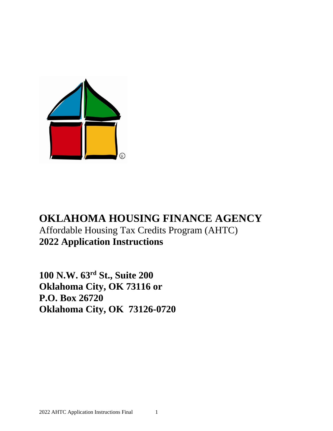

# **OKLAHOMA HOUSING FINANCE AGENCY** Affordable Housing Tax Credits Program (AHTC) **2022 Application Instructions**

**100 N.W. 63rd St., Suite 200 Oklahoma City, OK 73116 or P.O. Box 26720 Oklahoma City, OK 73126-0720**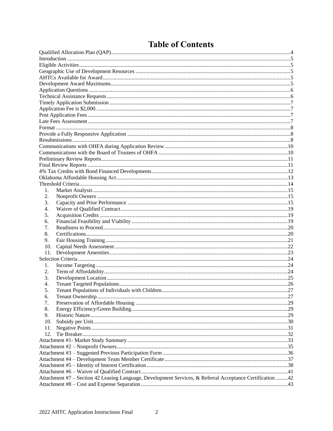| 1.                                                                                                        |  |
|-----------------------------------------------------------------------------------------------------------|--|
| 2.                                                                                                        |  |
| 3.                                                                                                        |  |
| $\overline{4}$ .                                                                                          |  |
| 5.                                                                                                        |  |
| 6.                                                                                                        |  |
| 7.                                                                                                        |  |
| 8.                                                                                                        |  |
|                                                                                                           |  |
| 9.                                                                                                        |  |
| 10.                                                                                                       |  |
| 11.                                                                                                       |  |
|                                                                                                           |  |
| 1.                                                                                                        |  |
| 2.                                                                                                        |  |
| 3.                                                                                                        |  |
| 4.                                                                                                        |  |
| 5.                                                                                                        |  |
| 6.                                                                                                        |  |
| 7.                                                                                                        |  |
| 8.                                                                                                        |  |
| 9.                                                                                                        |  |
| 10.                                                                                                       |  |
| 11.                                                                                                       |  |
| 12.                                                                                                       |  |
|                                                                                                           |  |
|                                                                                                           |  |
|                                                                                                           |  |
|                                                                                                           |  |
|                                                                                                           |  |
|                                                                                                           |  |
| Attachment #7 - Section 42 Leasing Language, Development Services, & Referral Acceptance Certification 42 |  |
|                                                                                                           |  |

# **Table of Contents**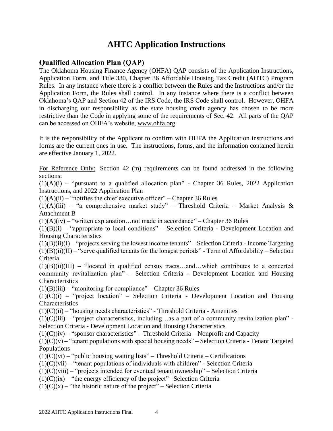## **AHTC Application Instructions**

## <span id="page-3-0"></span>**Qualified Allocation Plan (QAP)**

The Oklahoma Housing Finance Agency (OHFA) QAP consists of the Application Instructions, Application Form, and Title 330, Chapter 36 Affordable Housing Tax Credit (AHTC) Program Rules. In any instance where there is a conflict between the Rules and the Instructions and/or the Application Form, the Rules shall control. In any instance where there is a conflict between Oklahoma's QAP and Section 42 of the IRS Code, the IRS Code shall control. However, OHFA in discharging our responsibility as the state housing credit agency has chosen to be more restrictive than the Code in applying some of the requirements of Sec. 42. All parts of the QAP can be accessed on OHFA's website, [www.ohfa.org.](http://www.ohfa.org/)

It is the responsibility of the Applicant to confirm with OHFA the Application instructions and forms are the current ones in use. The instructions, forms, and the information contained herein are effective January 1, 2022.

For Reference Only: Section 42 (m) requirements can be found addressed in the following sections:

 $(1)(A)(i)$  – "pursuant to a qualified allocation plan" - Chapter 36 Rules, 2022 Application Instructions, and 2022 Application Plan

 $(1)(A)(ii)$  – "notifies the chief executive officer" – Chapter 36 Rules

 $(1)(A)(iii)$  – "a comprehensive market study" – Threshold Criteria – Market Analysis & Attachment B

 $(1)(A)(iv)$  – "written explanation... not made in accordance" – Chapter 36 Rules

 $(1)(B)(i)$  – "appropriate to local conditions" – Selection Criteria - Development Location and Housing Characteristics

 $(1)(B)(ii)(I)$  – "projects serving the lowest income tenants" – Selection Criteria - Income Targeting  $(1)(B)(ii)(II)$  – "serve qualified tenants for the longest periods" - Term of Affordability – Selection Criteria

 $(1)(B)(ii)(III)$  – "located in qualified census tracts...and...which contributes to a concerted community revitalization plan" – Selection Criteria - Development Location and Housing **Characteristics** 

 $(1)(B)(iii)$  – "monitoring for compliance" – Chapter 36 Rules

 $(1)(C)(i)$  – "project location" – Selection Criteria - Development Location and Housing **Characteristics** 

 $(1)(C)(ii)$  – "housing needs characteristics" - Threshold Criteria - Amenities

 $(1)(C)(iii)$  – "project characteristics, including...as a part of a community revitalization plan" -Selection Criteria - Development Location and Housing Characteristics

 $(1)(C)$ iv) – "sponsor characteristics" – Threshold Criteria – Nonprofit and Capacity

 $(1)(C)(v)$  – "tenant populations with special housing needs" – Selection Criteria - Tenant Targeted Populations

 $(1)(C)(vi)$  – "public housing waiting lists" – Threshold Criteria – Certifications

 $(1)(C)(vii)$  – "tenant populations of individuals with children" - Selection Criteria

 $(1)(C)(viii)$  – "projects intended for eventual tenant ownership" – Selection Criteria

 $(1)(C)(ix)$  – "the energy efficiency of the project" –Selection Criteria

 $(1)(C)(x)$  – "the historic nature of the project" – Selection Criteria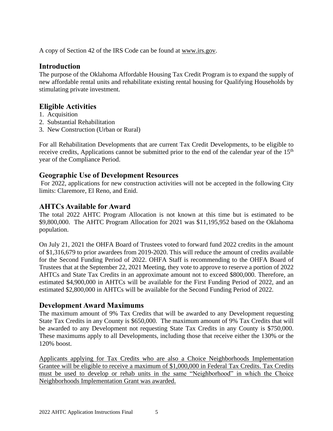A copy of Section 42 of the IRS Code can be found at [www.irs.gov.](http://www.irs.gov/)

## <span id="page-4-0"></span>**Introduction**

The purpose of the Oklahoma Affordable Housing Tax Credit Program is to expand the supply of new affordable rental units and rehabilitate existing rental housing for Qualifying Households by stimulating private investment.

## <span id="page-4-1"></span>**Eligible Activities**

- 1. Acquisition
- 2. Substantial Rehabilitation
- 3. New Construction (Urban or Rural)

For all Rehabilitation Developments that are current Tax Credit Developments, to be eligible to receive credits, Applications cannot be submitted prior to the end of the calendar year of the 15<sup>th</sup> year of the Compliance Period.

## <span id="page-4-2"></span>**Geographic Use of Development Resources**

For 2022, applications for new construction activities will not be accepted in the following City limits: Claremore, El Reno, and Enid.

## <span id="page-4-3"></span>**AHTCs Available for Award**

The total 2022 AHTC Program Allocation is not known at this time but is estimated to be \$9,800,000. The AHTC Program Allocation for 2021 was \$11,195,952 based on the Oklahoma population.

On July 21, 2021 the OHFA Board of Trustees voted to forward fund 2022 credits in the amount of \$1,316,679 to prior awardees from 2019-2020. This will reduce the amount of credits available for the Second Funding Period of 2022. OHFA Staff is recommending to the OHFA Board of Trustees that at the September 22, 2021 Meeting, they vote to approve to reserve a portion of 2022 AHTCs and State Tax Credits in an approximate amount not to exceed \$800,000. Therefore, an estimated \$4,900,000 in AHTCs will be available for the First Funding Period of 2022, and an estimated \$2,800,000 in AHTCs will be available for the Second Funding Period of 2022.

## <span id="page-4-4"></span>**Development Award Maximums**

The maximum amount of 9% Tax Credits that will be awarded to any Development requesting State Tax Credits in any County is \$650,000. The maximum amount of 9% Tax Credits that will be awarded to any Development not requesting State Tax Credits in any County is \$750,000. These maximums apply to all Developments, including those that receive either the 130% or the 120% boost.

Applicants applying for Tax Credits who are also a Choice Neighborhoods Implementation Grantee will be eligible to receive a maximum of \$1,000,000 in Federal Tax Credits. Tax Credits must be used to develop or rehab units in the same "Neighborhood" in which the Choice Neighborhoods Implementation Grant was awarded.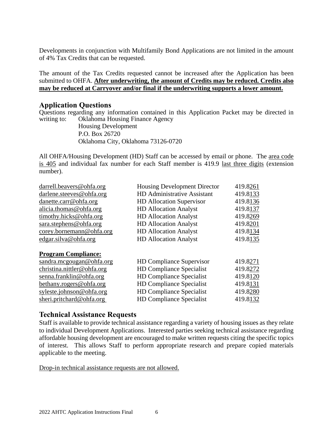Developments in conjunction with Multifamily Bond Applications are not limited in the amount of 4% Tax Credits that can be requested.

The amount of the Tax Credits requested cannot be increased after the Application has been submitted to OHFA. **After underwriting, the amount of Credits may be reduced. Credits also may be reduced at Carryover and/or final if the underwriting supports a lower amount.**

#### <span id="page-5-0"></span>**Application Questions**

Questions regarding any information contained in this Application Packet may be directed in writing to: Oklahoma Housing Finance Agency

Housing Development P.O. Box 26720 Oklahoma City, Oklahoma 73126-0720

All OHFA/Housing Development (HD) Staff can be accessed by email or phone. The area code is 405 and individual fax number for each Staff member is 419.9 last three digits (extension number).

| darrell.beavers@ohfa.org   | <b>Housing Development Director</b> | 419.8261 |
|----------------------------|-------------------------------------|----------|
| darlene.steeves@ohfa.org   | <b>HD</b> Administrative Assistant  | 419.8133 |
| danette.carr@ohfa.org      | <b>HD</b> Allocation Supervisor     | 419.8136 |
| alicia.thomas@ohfa.org     | <b>HD</b> Allocation Analyst        | 419.8137 |
| timothy.hicks@ohfa.org     | <b>HD</b> Allocation Analyst        | 419.8269 |
| sara.stephens@ohfa.org     | <b>HD Allocation Analyst</b>        | 419.8201 |
| corey.bornemann@ohfa.org   | <b>HD Allocation Analyst</b>        | 419.8134 |
| edgar.silva@ohfa.org       | <b>HD Allocation Analyst</b>        | 419.8135 |
| <b>Program Compliance:</b> |                                     |          |
| sandra.mcgougan@ohfa.org   | <b>HD Compliance Supervisor</b>     | 419.8271 |
| christina.nittler@ohfa.org | <b>HD Compliance Specialist</b>     | 419.8272 |
| senna.franklin@ohfa.org    | <b>HD Compliance Specialist</b>     | 419.8120 |
| bethany.rogers@ohfa.org    | <b>HD Compliance Specialist</b>     | 419.8131 |
| syleste.johnson@ohfa.org   | <b>HD Compliance Specialist</b>     | 419.8280 |
| sheri.pritchard@ohfa.org   | <b>HD Compliance Specialist</b>     | 419.8132 |

#### <span id="page-5-1"></span>**Technical Assistance Requests**

Staff is available to provide technical assistance regarding a variety of housing issues as they relate to individual Development Applications. Interested parties seeking technical assistance regarding affordable housing development are encouraged to make written requests citing the specific topics of interest. This allows Staff to perform appropriate research and prepare copied materials applicable to the meeting.

Drop-in technical assistance requests are not allowed.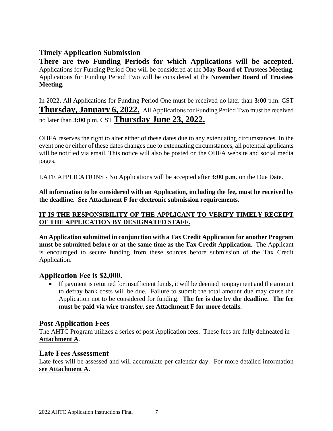## <span id="page-6-0"></span>**Timely Application Submission**

**There are two Funding Periods for which Applications will be accepted.** Applications for Funding Period One will be considered at the **May Board of Trustees Meeting**. Applications for Funding Period Two will be considered at the **November Board of Trustees Meeting.**

In 2022, All Applications for Funding Period One must be received no later than **3:00** p.m. CST **Thursday, January 6, 2022.** All Applications for Funding Period Two must be received no later than **3:00** p.m. CST **Thursday June 23, 2022.**

OHFA reserves the right to alter either of these dates due to any extenuating circumstances. In the event one or either of these dates changes due to extenuating circumstances, all potential applicants will be notified via email. This notice will also be posted on the OHFA website and social media pages.

LATE APPLICATIONS - No Applications will be accepted after **3:00 p.m**. on the Due Date.

**All information to be considered with an Application, including the fee, must be received by the deadline. See Attachment F for electronic submission requirements.**

#### **IT IS THE RESPONSIBILITY OF THE APPLICANT TO VERIFY TIMELY RECEIPT OF THE APPLICATION BY DESIGNATED STAFF.**

**An Application submitted in conjunction with a Tax Credit Application for another Program must be submitted before or at the same time as the Tax Credit Application**. The Applicant is encouraged to secure funding from these sources before submission of the Tax Credit Application.

## <span id="page-6-1"></span>**Application Fee is \$2,000.**

If payment is returned for insufficient funds, it will be deemed nonpayment and the amount to defray bank costs will be due. Failure to submit the total amount due may cause the Application not to be considered for funding. **The fee is due by the deadline. The fee must be paid via wire transfer, see Attachment F for more details.**

## <span id="page-6-2"></span>**Post Application Fees**

The AHTC Program utilizes a series of post Application fees. These fees are fully delineated in **Attachment A**.

#### <span id="page-6-3"></span>**Late Fees Assessment**

Late fees will be assessed and will accumulate per calendar day. For more detailed information **see Attachment A.**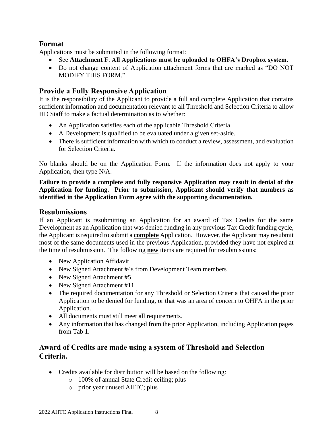## <span id="page-7-0"></span>**Format**

Applications must be submitted in the following format:

- See **Attachment F**. **All Applications must be uploaded to OHFA's Dropbox system.**
- Do not change content of Application attachment forms that are marked as "DO NOT MODIFY THIS FORM."

## <span id="page-7-1"></span>**Provide a Fully Responsive Application**

It is the responsibility of the Applicant to provide a full and complete Application that contains sufficient information and documentation relevant to all Threshold and Selection Criteria to allow HD Staff to make a factual determination as to whether:

- An Application satisfies each of the applicable Threshold Criteria.
- A Development is qualified to be evaluated under a given set-aside.
- There is sufficient information with which to conduct a review, assessment, and evaluation for Selection Criteria.

No blanks should be on the Application Form. If the information does not apply to your Application, then type N/A.

**Failure to provide a complete and fully responsive Application may result in denial of the Application for funding. Prior to submission, Applicant should verify that numbers as identified in the Application Form agree with the supporting documentation.**

## <span id="page-7-2"></span>**Resubmissions**

If an Applicant is resubmitting an Application for an award of Tax Credits for the same Development as an Application that was denied funding in any previous Tax Credit funding cycle, the Applicant is required to submit a **complete** Application. However, the Applicant may resubmit most of the same documents used in the previous Application, provided they have not expired at the time of resubmission. The following **new** items are required for resubmissions:

- New Application Affidavit
- New Signed Attachment #4s from Development Team members
- New Signed Attachment #5
- New Signed Attachment #11
- The required documentation for any Threshold or Selection Criteria that caused the prior Application to be denied for funding, or that was an area of concern to OHFA in the prior Application.
- All documents must still meet all requirements.
- Any information that has changed from the prior Application, including Application pages from Tab 1.

## **Award of Credits are made using a system of Threshold and Selection Criteria.**

- Credits available for distribution will be based on the following:
	- o 100% of annual State Credit ceiling; plus
	- o prior year unused AHTC; plus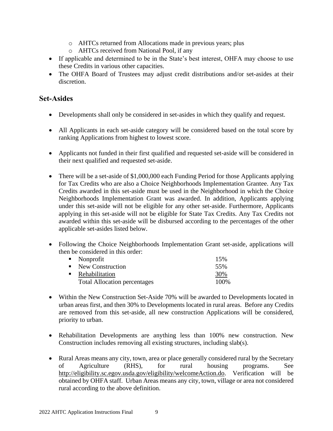- o AHTCs returned from Allocations made in previous years; plus
- o AHTCs received from National Pool, if any
- If applicable and determined to be in the State's best interest, OHFA may choose to use these Credits in various other capacities.
- The OHFA Board of Trustees may adjust credit distributions and/or set-asides at their discretion.

## **Set-Asides**

- Developments shall only be considered in set-asides in which they qualify and request.
- All Applicants in each set-aside category will be considered based on the total score by ranking Applications from highest to lowest score.
- Applicants not funded in their first qualified and requested set-aside will be considered in their next qualified and requested set-aside.
- There will be a set-aside of \$1,000,000 each Funding Period for those Applicants applying for Tax Credits who are also a Choice Neighborhoods Implementation Grantee. Any Tax Credits awarded in this set-aside must be used in the Neighborhood in which the Choice Neighborhoods Implementation Grant was awarded. In addition, Applicants applying under this set-aside will not be eligible for any other set-aside. Furthermore, Applicants applying in this set-aside will not be eligible for State Tax Credits. Any Tax Credits not awarded within this set-aside will be disbursed according to the percentages of the other applicable set-asides listed below.
- Following the Choice Neighborhoods Implementation Grant set-aside, applications will then be considered in this order:

| $\blacksquare$ Nonprofit            | 15%   |
|-------------------------------------|-------|
| $\blacksquare$ New Construction     | 55%   |
| • Rehabilitation                    | 30%   |
| <b>Total Allocation percentages</b> | 100\% |

- Within the New Construction Set-Aside 70% will be awarded to Developments located in urban areas first, and then 30% to Developments located in rural areas. Before any Credits are removed from this set-aside, all new construction Applications will be considered, priority to urban.
- Rehabilitation Developments are anything less than 100% new construction. New Construction includes removing all existing structures, including slab(s).
- Rural Areas means any city, town, area or place generally considered rural by the Secretary of Agriculture (RHS), for rural housing programs. See [http://eligibility.sc.egov.usda.gov/eligibility/welcomeAction.do.](http://eligibility.sc.egov.usda.gov/eligibility/welcomeAction.do) Verification will be obtained by OHFA staff. Urban Areas means any city, town, village or area not considered rural according to the above definition.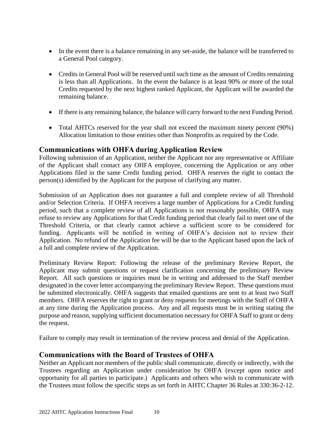- In the event there is a balance remaining in any set-aside, the balance will be transferred to a General Pool category.
- Credits in General Pool will be reserved until such time as the amount of Credits remaining is less than all Applications. In the event the balance is at least 90% or more of the total Credits requested by the next highest ranked Applicant, the Applicant will be awarded the remaining balance.
- If there is any remaining balance, the balance will carry forward to the next Funding Period.
- Total AHTCs reserved for the year shall not exceed the maximum ninety percent (90%) Allocation limitation to those entities other than Nonprofits as required by the Code.

## <span id="page-9-0"></span>**Communications with OHFA during Application Review**

Following submission of an Application, neither the Applicant nor any representative or Affiliate of the Applicant shall contact any OHFA employee, concerning the Application or any other Applications filed in the same Credit funding period. OHFA reserves the right to contact the person(s) identified by the Applicant for the purpose of clarifying any matter.

Submission of an Application does not guarantee a full and complete review of all Threshold and/or Selection Criteria. If OHFA receives a large number of Applications for a Credit funding period, such that a complete review of all Applications is not reasonably possible, OHFA may refuse to review any Applications for that Credit funding period that clearly fail to meet one of the Threshold Criteria, or that clearly cannot achieve a sufficient score to be considered for funding. Applicants will be notified in writing of OHFA's decision not to review their Application. No refund of the Application fee will be due to the Applicant based upon the lack of a full and complete review of the Application.

Preliminary Review Report: Following the release of the preliminary Review Report, the Applicant may submit questions or request clarification concerning the preliminary Review Report. All such questions or inquiries must be in writing and addressed to the Staff member designated in the cover letter accompanying the preliminary Review Report. These questions must be submitted electronically. OHFA suggests that emailed questions are sent to at least two Staff members. OHFA reserves the right to grant or deny requests for meetings with the Staff of OHFA at any time during the Application process. Any and all requests must be in writing stating the purpose and reason, supplying sufficient documentation necessary for OHFA Staff to grant or deny the request.

Failure to comply may result in termination of the review process and denial of the Application.

## <span id="page-9-1"></span>**Communications with the Board of Trustees of OHFA**

Neither an Applicant nor members of the public shall communicate, directly or indirectly, with the Trustees regarding an Application under consideration by OHFA (except upon notice and opportunity for all parties to participate.) Applicants and others who wish to communicate with the Trustees must follow the specific steps as set forth in AHTC Chapter 36 Rules at 330:36-2-12.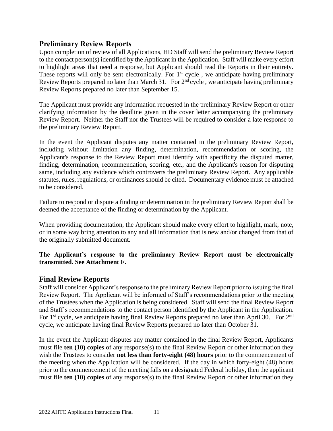## <span id="page-10-0"></span>**Preliminary Review Reports**

Upon completion of review of all Applications, HD Staff will send the preliminary Review Report to the contact person(s) identified by the Applicant in the Application. Staff will make every effort to highlight areas that need a response, but Applicant should read the Reports in their entirety. These reports will only be sent electronically. For  $1<sup>st</sup>$  cycle, we anticipate having preliminary Review Reports prepared no later than March 31. For  $2<sup>nd</sup>$  cycle, we anticipate having preliminary Review Reports prepared no later than September 15.

The Applicant must provide any information requested in the preliminary Review Report or other clarifying information by the deadline given in the cover letter accompanying the preliminary Review Report. Neither the Staff nor the Trustees will be required to consider a late response to the preliminary Review Report.

In the event the Applicant disputes any matter contained in the preliminary Review Report, including without limitation any finding, determination, recommendation or scoring, the Applicant's response to the Review Report must identify with specificity the disputed matter, finding, determination, recommendation, scoring, etc., and the Applicant's reason for disputing same, including any evidence which controverts the preliminary Review Report. Any applicable statutes, rules, regulations, or ordinances should be cited. Documentary evidence must be attached to be considered.

Failure to respond or dispute a finding or determination in the preliminary Review Report shall be deemed the acceptance of the finding or determination by the Applicant.

When providing documentation, the Applicant should make every effort to highlight, mark, note, or in some way bring attention to any and all information that is new and/or changed from that of the originally submitted document.

#### **The Applicant's response to the preliminary Review Report must be electronically transmitted. See Attachment F.**

## <span id="page-10-1"></span>**Final Review Reports**

Staff will consider Applicant's response to the preliminary Review Report prior to issuing the final Review Report. The Applicant will be informed of Staff's recommendations prior to the meeting of the Trustees when the Application is being considered. Staff will send the final Review Report and Staff's recommendations to the contact person identified by the Applicant in the Application. For 1<sup>st</sup> cycle, we anticipate having final Review Reports prepared no later than April 30. For 2<sup>nd</sup> cycle, we anticipate having final Review Reports prepared no later than October 31.

In the event the Applicant disputes any matter contained in the final Review Report, Applicants must file **ten (10) copies** of any response(s) to the final Review Report or other information they wish the Trustees to consider **not less than forty-eight (48) hours** prior to the commencement of the meeting when the Application will be considered. If the day in which forty-eight (48) hours prior to the commencement of the meeting falls on a designated Federal holiday, then the applicant must file **ten (10) copies** of any response(s) to the final Review Report or other information they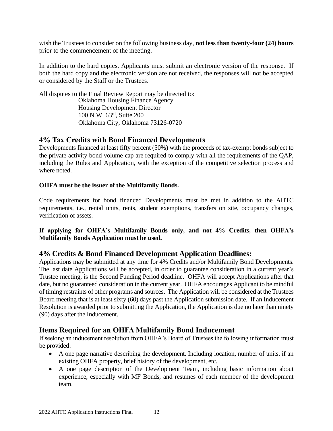wish the Trustees to consider on the following business day, **not less than twenty-four (24) hours** prior to the commencement of the meeting.

In addition to the hard copies, Applicants must submit an electronic version of the response. If both the hard copy and the electronic version are not received, the responses will not be accepted or considered by the Staff or the Trustees.

All disputes to the Final Review Report may be directed to: Oklahoma Housing Finance Agency Housing Development Director 100 N.W. 63rd, Suite 200 Oklahoma City, Oklahoma 73126-0720

## <span id="page-11-0"></span>**4% Tax Credits with Bond Financed Developments**

Developments financed at least fifty percent (50%) with the proceeds of tax-exempt bonds subject to the private activity bond volume cap are required to comply with all the requirements of the QAP, including the Rules and Application, with the exception of the competitive selection process and where noted.

#### **OHFA must be the issuer of the Multifamily Bonds.**

Code requirements for bond financed Developments must be met in addition to the AHTC requirements, i.e., rental units, rents, student exemptions, transfers on site, occupancy changes, verification of assets.

**If applying for OHFA's Multifamily Bonds only, and not 4% Credits, then OHFA's Multifamily Bonds Application must be used.**

## **4% Credits & Bond Financed Development Application Deadlines:**

Applications may be submitted at any time for 4% Credits and/or Multifamily Bond Developments. The last date Applications will be accepted, in order to guarantee consideration in a current year's Trustee meeting, is the Second Funding Period deadline. OHFA will accept Applications after that date, but no guaranteed consideration in the current year. OHFA encourages Applicant to be mindful of timing restraints of other programs and sources. The Application will be considered at the Trustees Board meeting that is at least sixty (60) days past the Application submission date. If an Inducement Resolution is awarded prior to submitting the Application, the Application is due no later than ninety (90) days after the Inducement.

## **Items Required for an OHFA Multifamily Bond Inducement**

If seeking an inducement resolution from OHFA's Board of Trustees the following information must be provided:

- A one page narrative describing the development. Including location, number of units, if an existing OHFA property, brief history of the development, etc.
- A one page description of the Development Team, including basic information about experience, especially with MF Bonds, and resumes of each member of the development team.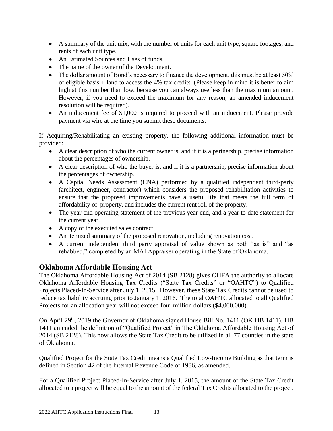- A summary of the unit mix, with the number of units for each unit type, square footages, and rents of each unit type.
- An Estimated Sources and Uses of funds.
- The name of the owner of the Development.
- The dollar amount of Bond's necessary to finance the development, this must be at least 50% of eligible basis + land to access the 4% tax credits. (Please keep in mind it is better to aim high at this number than low, because you can always use less than the maximum amount. However, if you need to exceed the maximum for any reason, an amended inducement resolution will be required).
- An inducement fee of \$1,000 is required to proceed with an inducement. Please provide payment via wire at the time you submit these documents.

If Acquiring/Rehabilitating an existing property, the following additional information must be provided:

- A clear description of who the current owner is, and if it is a partnership, precise information about the percentages of ownership.
- A clear description of who the buyer is, and if it is a partnership, precise information about the percentages of ownership.
- A Capital Needs Assessment (CNA) performed by a qualified independent third-party (architect, engineer, contractor) which considers the proposed rehabilitation activities to ensure that the proposed improvements have a useful life that meets the full term of affordability of property, and includes the current rent roll of the property.
- The year-end operating statement of the previous year end, and a year to date statement for the current year.
- A copy of the executed sales contract.
- An itemized summary of the proposed renovation, including renovation cost.
- A current independent third party appraisal of value shown as both "as is" and "as rehabbed," completed by an MAI Appraiser operating in the State of Oklahoma.

## <span id="page-12-0"></span>**Oklahoma Affordable Housing Act**

The Oklahoma Affordable Housing Act of 2014 (SB 2128) gives OHFA the authority to allocate Oklahoma Affordable Housing Tax Credits ("State Tax Credits" or "OAHTC") to Qualified Projects Placed-In-Service after July 1, 2015. However, these State Tax Credits cannot be used to reduce tax liability accruing prior to January 1, 2016. The total OAHTC allocated to all Qualified Projects for an allocation year will not exceed four million dollars (\$4,000,000).

On April 29<sup>th</sup>, 2019 the Governor of Oklahoma signed House Bill No. 1411 (OK HB 1411). HB 1411 amended the definition of "Qualified Project" in The Oklahoma Affordable Housing Act of 2014 (SB 2128). This now allows the State Tax Credit to be utilized in all 77 counties in the state of Oklahoma.

Qualified Project for the State Tax Credit means a Qualified Low-Income Building as that term is defined in Section 42 of the Internal Revenue Code of 1986, as amended.

For a Qualified Project Placed-In-Service after July 1, 2015, the amount of the State Tax Credit allocated to a project will be equal to the amount of the federal Tax Credits allocated to the project.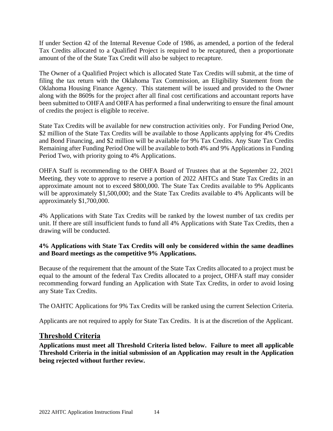If under Section 42 of the Internal Revenue Code of 1986, as amended, a portion of the federal Tax Credits allocated to a Qualified Project is required to be recaptured, then a proportionate amount of the of the State Tax Credit will also be subject to recapture.

The Owner of a Qualified Project which is allocated State Tax Credits will submit, at the time of filing the tax return with the Oklahoma Tax Commission, an Eligibility Statement from the Oklahoma Housing Finance Agency. This statement will be issued and provided to the Owner along with the 8609s for the project after all final cost certifications and accountant reports have been submitted to OHFA and OHFA has performed a final underwriting to ensure the final amount of credits the project is eligible to receive.

State Tax Credits will be available for new construction activities only. For Funding Period One, \$2 million of the State Tax Credits will be available to those Applicants applying for 4% Credits and Bond Financing, and \$2 million will be available for 9% Tax Credits. Any State Tax Credits Remaining after Funding Period One will be available to both 4% and 9% Applications in Funding Period Two, with priority going to 4% Applications.

OHFA Staff is recommending to the OHFA Board of Trustees that at the September 22, 2021 Meeting, they vote to approve to reserve a portion of 2022 AHTCs and State Tax Credits in an approximate amount not to exceed \$800,000. The State Tax Credits available to 9% Applicants will be approximately \$1,500,000; and the State Tax Credits available to 4% Applicants will be approximately \$1,700,000.

4% Applications with State Tax Credits will be ranked by the lowest number of tax credits per unit. If there are still insufficient funds to fund all 4% Applications with State Tax Credits, then a drawing will be conducted.

#### **4% Applications with State Tax Credits will only be considered within the same deadlines and Board meetings as the competitive 9% Applications.**

Because of the requirement that the amount of the State Tax Credits allocated to a project must be equal to the amount of the federal Tax Credits allocated to a project, OHFA staff may consider recommending forward funding an Application with State Tax Credits, in order to avoid losing any State Tax Credits.

The OAHTC Applications for 9% Tax Credits will be ranked using the current Selection Criteria.

<span id="page-13-0"></span>Applicants are not required to apply for State Tax Credits. It is at the discretion of the Applicant.

## **Threshold Criteria**

**Applications must meet all Threshold Criteria listed below. Failure to meet all applicable Threshold Criteria in the initial submission of an Application may result in the Application being rejected without further review.**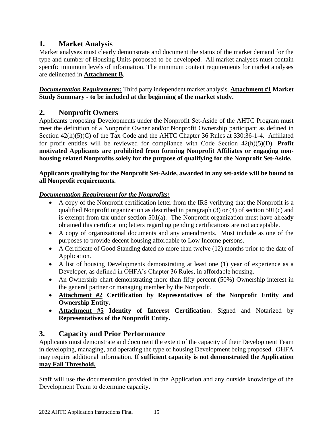## <span id="page-14-0"></span>**1. Market Analysis**

Market analyses must clearly demonstrate and document the status of the market demand for the type and number of Housing Units proposed to be developed. All market analyses must contain specific minimum levels of information. The minimum content requirements for market analyses are delineated in **Attachment B**.

*Documentation Requirements:* Third party independent market analysis. **Attachment #1 Market Study Summary - to be included at the beginning of the market study.**

## <span id="page-14-1"></span>**2. Nonprofit Owners**

Applicants proposing Developments under the Nonprofit Set-Aside of the AHTC Program must meet the definition of a Nonprofit Owner and/or Nonprofit Ownership participant as defined in Section 42(h)(5)(C) of the Tax Code and the AHTC Chapter 36 Rules at 330:36-1-4. Affiliated for profit entities will be reviewed for compliance with Code Section 42(h)(5)(D). **Profit motivated Applicants are prohibited from forming Nonprofit Affiliates or engaging nonhousing related Nonprofits solely for the purpose of qualifying for the Nonprofit Set-Aside.** 

#### **Applicants qualifying for the Nonprofit Set-Aside, awarded in any set-aside will be bound to all Nonprofit requirements.**

## *Documentation Requirement for the Nonprofits:*

- A copy of the Nonprofit certification letter from the IRS verifying that the Nonprofit is a qualified Nonprofit organization as described in paragraph (3) or (4) of section 501(c) and is exempt from tax under section  $501(a)$ . The Nonprofit organization must have already obtained this certification; letters regarding pending certifications are not acceptable.
- A copy of organizational documents and any amendments. Must include as one of the purposes to provide decent housing affordable to Low Income persons.
- A Certificate of Good Standing dated no more than twelve (12) months prior to the date of Application.
- A list of housing Developments demonstrating at least one (1) year of experience as a Developer, as defined in OHFA's Chapter 36 Rules, in affordable housing.
- An Ownership chart demonstrating more than fifty percent (50%) Ownership interest in the general partner or managing member by the Nonprofit.
- **Attachment #2 Certification by Representatives of the Nonprofit Entity and Ownership Entity.**
- **Attachment #5 Identity of Interest Certification**: Signed and Notarized by **Representatives of the Nonprofit Entity.**

## <span id="page-14-2"></span>**3. Capacity and Prior Performance**

Applicants must demonstrate and document the extent of the capacity of their Development Team in developing, managing, and operating the type of housing Development being proposed. OHFA may require additional information. **If sufficient capacity is not demonstrated the Application may Fail Threshold.**

Staff will use the documentation provided in the Application and any outside knowledge of the Development Team to determine capacity.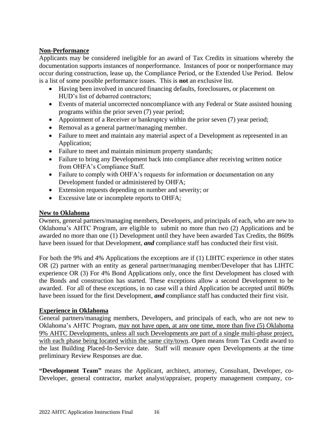#### **Non-Performance**

Applicants may be considered ineligible for an award of Tax Credits in situations whereby the documentation supports instances of nonperformance. Instances of poor or nonperformance may occur during construction, lease up, the Compliance Period, or the Extended Use Period. Below is a list of some possible performance issues. This is **not** an exclusive list.

- Having been involved in uncured financing defaults, foreclosures, or placement on HUD's list of debarred contractors;
- Events of material uncorrected noncompliance with any Federal or State assisted housing programs within the prior seven (7) year period;
- Appointment of a Receiver or bankruptcy within the prior seven (7) year period;
- Removal as a general partner/managing member.
- Failure to meet and maintain any material aspect of a Development as represented in an Application;
- Failure to meet and maintain minimum property standards;
- Failure to bring any Development back into compliance after receiving written notice from OHFA's Compliance Staff.
- Failure to comply with OHFA's requests for information or documentation on any Development funded or administered by OHFA;
- Extension requests depending on number and severity; or
- Excessive late or incomplete reports to OHFA;

#### **New to Oklahoma**

Owners, general partners/managing members, Developers, and principals of each, who are new to Oklahoma's AHTC Program, are eligible to submit no more than two (2) Applications and be awarded no more than one (1) Development until they have been awarded Tax Credits, the 8609s have been issued for that Development, *and* compliance staff has conducted their first visit.

For both the 9% and 4% Applications the exceptions are if (1) LIHTC experience in other states OR (2) partner with an entity as general partner/managing member/Developer that has LIHTC experience OR (3) For 4% Bond Applications only, once the first Development has closed with the Bonds and construction has started. These exceptions allow a second Development to be awarded. For all of these exceptions, in no case will a third Application be accepted until 8609s have been issued for the first Development, *and* compliance staff has conducted their first visit.

#### **Experience in Oklahoma**

General partners/managing members, Developers, and principals of each, who are not new to Oklahoma's AHTC Program, may not have open, at any one time, more than five (5) Oklahoma 9% AHTC Developments, unless all such Developments are part of a single multi-phase project, with each phase being located within the same city/town. Open means from Tax Credit award to the last Building Placed-In-Service date. Staff will measure open Developments at the time preliminary Review Responses are due.

**"Development Team"** means the Applicant, architect, attorney, Consultant, Developer, co-Developer, general contractor, market analyst/appraiser, property management company, co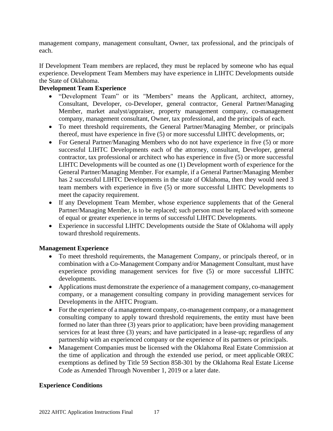management company, management consultant, Owner, tax professional, and the principals of each.

If Development Team members are replaced, they must be replaced by someone who has equal experience. Development Team Members may have experience in LIHTC Developments outside the State of Oklahoma.

#### **Development Team Experience**

- "Development Team" or its "Members" means the Applicant, architect, attorney, Consultant, Developer, co-Developer, general contractor, General Partner/Managing Member, market analyst/appraiser, property management company, co-management company, management consultant, Owner, tax professional, and the principals of each.
- To meet threshold requirements, the General Partner/Managing Member, or principals thereof, must have experience in five (5) or more successful LIHTC developments, or;
- For General Partner/Managing Members who do not have experience in five (5) or more successful LIHTC Developments each of the attorney, consultant, Developer, general contractor, tax professional or architect who has experience in five (5) or more successful LIHTC Developments will be counted as one (1) Development worth of experience for the General Partner/Managing Member. For example, if a General Partner/Managing Member has 2 successful LIHTC Developments in the state of Oklahoma, then they would need 3 team members with experience in five (5) or more successful LIHTC Developments to meet the capacity requirement.
- If any Development Team Member, whose experience supplements that of the General Partner/Managing Member, is to be replaced; such person must be replaced with someone of equal or greater experience in terms of successful LIHTC Developments.
- Experience in successful LIHTC Developments outside the State of Oklahoma will apply toward threshold requirements.

#### **Management Experience**

- To meet threshold requirements, the Management Company, or principals thereof, or in combination with a Co-Management Company and/or Management Consultant, must have experience providing management services for five (5) or more successful LIHTC developments.
- Applications must demonstrate the experience of a management company, co-management company, or a management consulting company in providing management services for Developments in the AHTC Program.
- For the experience of a management company, co-management company, or a management consulting company to apply toward threshold requirements, the entity must have been formed no later than three (3) years prior to application; have been providing management services for at least three (3) years; and have participated in a lease-up; regardless of any partnership with an experienced company or the experience of its partners or principals.
- Management Companies must be licensed with the Oklahoma Real Estate Commission at the time of application and through the extended use period, or meet applicable OREC exemptions as defined by Title 59 Section 858-301 by the Oklahoma Real Estate License Code as Amended Through November 1, 2019 or a later date.

#### **Experience Conditions**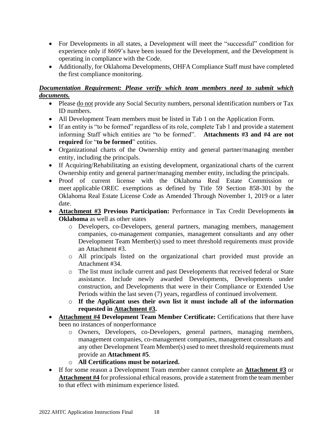- For Developments in all states, a Development will meet the "successful" condition for experience only if 8609's have been issued for the Development, and the Development is operating in compliance with the Code.
- Additionally, for Oklahoma Developments, OHFA Compliance Staff must have completed the first compliance monitoring.

#### *Documentation Requirement: Please verify which team members need to submit which documents.*

- Please do not provide any Social Security numbers, personal identification numbers or Tax ID numbers.
- All Development Team members must be listed in Tab 1 on the Application Form.
- If an entity is "to be formed" regardless of its role, complete Tab 1 and provide a statement informing Staff which entities are "to be formed". **Attachments #3 and #4 are not required** for "**to be formed**" entities.
- Organizational charts of the Ownership entity and general partner/managing member entity, including the principals.
- If Acquiring/Rehabilitating an existing development, organizational charts of the current Ownership entity and general partner/managing member entity, including the principals.
- Proof of current license with the Oklahoma Real Estate Commission or meet applicable OREC exemptions as defined by Title 59 Section 858-301 by the Oklahoma Real Estate License Code as Amended Through November 1, 2019 or a later date.
- **Attachment #3 Previous Participation:** Performance in Tax Credit Developments **in Oklahoma** as well as other states
	- o Developers, co-Developers, general partners, managing members, management companies, co-management companies, management consultants and any other Development Team Member(s) used to meet threshold requirements must provide an Attachment #3.
	- o All principals listed on the organizational chart provided must provide an Attachment #34.
	- o The list must include current and past Developments that received federal or State assistance. Include newly awarded Developments, Developments under construction, and Developments that were in their Compliance or Extended Use Periods within the last seven (7) years, regardless of continued involvement.
	- o **If the Applicant uses their own list it must include all of the information requested in Attachment #3.**
- **Attachment #4 Development Team Member Certificate:** Certifications that there have been no instances of nonperformance
	- o Owners, Developers, co-Developers, general partners, managing members, management companies, co-management companies, management consultants and any other Development Team Member(s) used to meet threshold requirements must provide an **Attachment #5**.
	- o **All Certifications must be notarized.**
- If for some reason a Development Team member cannot complete an **Attachment #3** or **Attachment #4** for professional ethical reasons, provide a statement from the team member to that effect with minimum experience listed.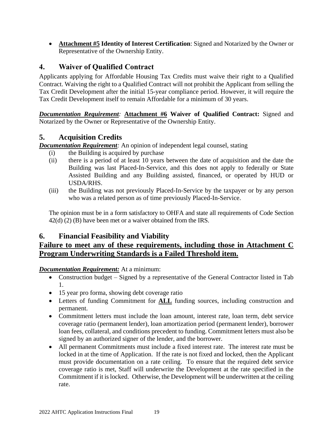• **Attachment #5 Identity of Interest Certification**: Signed and Notarized by the Owner or Representative of the Ownership Entity.

## <span id="page-18-0"></span>**4. Waiver of Qualified Contract**

Applicants applying for Affordable Housing Tax Credits must waive their right to a Qualified Contract. Waiving the right to a Qualified Contract will not prohibit the Applicant from selling the Tax Credit Development after the initial 15-year compliance period. However, it will require the Tax Credit Development itself to remain Affordable for a minimum of 30 years.

*Documentation Requirement:* **Attachment #6 Waiver of Qualified Contract:** Signed and Notarized by the Owner or Representative of the Ownership Entity.

## <span id="page-18-1"></span>**5. Acquisition Credits**

*Documentation Requirement*: An opinion of independent legal counsel, stating

- (i) the Building is acquired by purchase
- (ii) there is a period of at least 10 years between the date of acquisition and the date the Building was last Placed-In-Service, and this does not apply to federally or State Assisted Building and any Building assisted, financed, or operated by HUD or USDA/RHS.
- (iii) the Building was not previously Placed-In-Service by the taxpayer or by any person who was a related person as of time previously Placed-In-Service.

The opinion must be in a form satisfactory to OHFA and state all requirements of Code Section 42(d) (2) (B) have been met or a waiver obtained from the IRS.

## <span id="page-18-2"></span>**6. Financial Feasibility and Viability**

## **Failure to meet any of these requirements, including those in Attachment C Program Underwriting Standards is a Failed Threshold item.**

#### *Documentation Requirement:* At a minimum:

- Construction budget Signed by a representative of the General Contractor listed in Tab 1.
- 15 year pro forma, showing debt coverage ratio
- Letters of funding Commitment for **ALL** funding sources, including construction and permanent.
- Commitment letters must include the loan amount, interest rate, loan term, debt service coverage ratio (permanent lender), loan amortization period (permanent lender), borrower loan fees, collateral, and conditions precedent to funding. Commitment letters must also be signed by an authorized signer of the lender, and the borrower.
- All permanent Commitments must include a fixed interest rate. The interest rate must be locked in at the time of Application. If the rate is not fixed and locked, then the Applicant must provide documentation on a rate ceiling. To ensure that the required debt service coverage ratio is met, Staff will underwrite the Development at the rate specified in the Commitment if it is locked. Otherwise, the Development will be underwritten at the ceiling rate.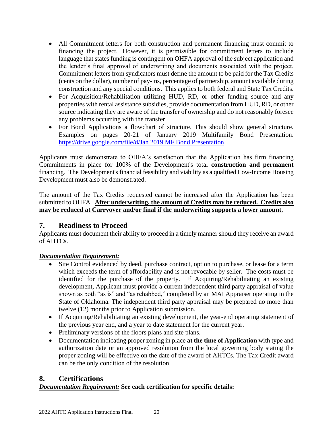- All Commitment letters for both construction and permanent financing must commit to financing the project. However, it is permissible for commitment letters to include language that states funding is contingent on OHFA approval of the subject application and the lender's final approval of underwriting and documents associated with the project. Commitment letters from syndicators must define the amount to be paid for the Tax Credits (cents on the dollar), number of pay-ins, percentage of partnership, amount available during construction and any special conditions. This applies to both federal and State Tax Credits.
- For Acquisition/Rehabilitation utilizing HUD, RD, or other funding source and any properties with rental assistance subsidies, provide documentation from HUD, RD, or other source indicating they are aware of the transfer of ownership and do not reasonably foresee any problems occurring with the transfer.
- For Bond Applications a flowchart of structure. This should show general structure. Examples on pages 20-21 of January 2019 Multifamily Bond Presentation. [https://drive.google.com/file/d/Jan 2019 MF Bond Presentation](https://drive.google.com/file/d/1P8Fcu8isldmyzDFDf0suJpbyXk5vFbXJ/view)

Applicants must demonstrate to OHFA's satisfaction that the Application has firm financing Commitments in place for 100% of the Development's total **construction and permanent** financing. The Development's financial feasibility and viability as a qualified Low-Income Housing Development must also be demonstrated.

The amount of the Tax Credits requested cannot be increased after the Application has been submitted to OHFA. **After underwriting, the amount of Credits may be reduced. Credits also may be reduced at Carryover and/or final if the underwriting supports a lower amount.**

## <span id="page-19-0"></span>**7. Readiness to Proceed**

Applicants must document their ability to proceed in a timely manner should they receive an award of AHTCs.

## *Documentation Requirement:*

- Site Control evidenced by deed, purchase contract, option to purchase, or lease for a term which exceeds the term of affordability and is not revocable by seller. The costs must be identified for the purchase of the property. If Acquiring/Rehabilitating an existing development, Applicant must provide a current independent third party appraisal of value shown as both "as is" and "as rehabbed," completed by an MAI Appraiser operating in the State of Oklahoma. The independent third party appraisal may be prepared no more than twelve (12) months prior to Application submission.
- If Acquiring/Rehabilitating an existing development, the year-end operating statement of the previous year end, and a year to date statement for the current year.
- Preliminary versions of the floors plans and site plans.
- Documentation indicating proper zoning in place **at the time of Application** with type and authorization date or an approved resolution from the local governing body stating the proper zoning will be effective on the date of the award of AHTCs. The Tax Credit award can be the only condition of the resolution.

## <span id="page-19-1"></span>**8. Certifications**

## *Documentation Requirement:* **See each certification for specific details:**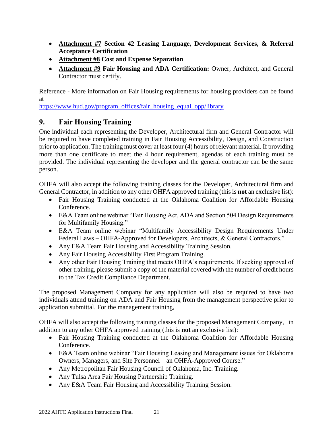- **Attachment #7 Section 42 Leasing Language, Development Services, & Referral Acceptance Certification**
- **Attachment #8 Cost and Expense Separation**
- **Attachment #9 Fair Housing and ADA Certification:** Owner, Architect, and General Contractor must certify.

Reference - More information on Fair Housing requirements for housing providers can be found at

[https://www.hud.gov/program\\_offices/fair\\_housing\\_equal\\_opp/library](https://www.hud.gov/program_offices/fair_housing_equal_opp/library)

## <span id="page-20-0"></span>**9. Fair Housing Training**

One individual each representing the Developer, Architectural firm and General Contractor will be required to have completed training in Fair Housing Accessibility, Design, and Construction prior to application. The training must cover at least four (4) hours of relevant material. If providing more than one certificate to meet the 4 hour requirement, agendas of each training must be provided. The individual representing the developer and the general contractor can be the same person.

OHFA will also accept the following training classes for the Developer, Architectural firm and General Contractor, in addition to any other OHFA approved training (this is **not** an exclusive list):

- Fair Housing Training conducted at the Oklahoma Coalition for Affordable Housing Conference.
- E&A Team online webinar "Fair Housing Act, ADA and Section 504 Design Requirements for Multifamily Housing."
- E&A Team online webinar "Multifamily Accessibility Design Requirements Under Federal Laws – OHFA-Approved for Developers, Architects, & General Contractors."
- Any E&A Team Fair Housing and Accessibility Training Session.
- Any Fair Housing Accessibility First Program Training.
- Any other Fair Housing Training that meets OHFA's requirements. If seeking approval of other training, please submit a copy of the material covered with the number of credit hours to the Tax Credit Compliance Department.

The proposed Management Company for any application will also be required to have two individuals attend training on ADA and Fair Housing from the management perspective prior to application submittal. For the management training,

OHFA will also accept the following training classes for the proposed Management Company, in addition to any other OHFA approved training (this is **not** an exclusive list):

- Fair Housing Training conducted at the Oklahoma Coalition for Affordable Housing Conference.
- E&A Team online webinar "Fair Housing Leasing and Management issues for Oklahoma Owners, Managers, and Site Personnel – an OHFA-Approved Course."
- Any Metropolitan Fair Housing Council of Oklahoma, Inc. Training.
- Any Tulsa Area Fair Housing Partnership Training.
- Any E&A Team Fair Housing and Accessibility Training Session.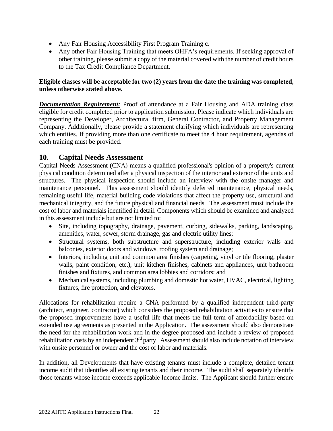- Any Fair Housing Accessibility First Program Training c.
- Any other Fair Housing Training that meets OHFA's requirements. If seeking approval of other training, please submit a copy of the material covered with the number of credit hours to the Tax Credit Compliance Department.

#### **Eligible classes will be acceptable for two (2) years from the date the training was completed, unless otherwise stated above.**

*Documentation Requirement:* Proof of attendance at a Fair Housing and ADA training class eligible for credit completed prior to application submission. Please indicate which individuals are representing the Developer, Architectural firm, General Contractor, and Property Management Company. Additionally, please provide a statement clarifying which individuals are representing which entities. If providing more than one certificate to meet the 4 hour requirement, agendas of each training must be provided.

## <span id="page-21-0"></span>**10. Capital Needs Assessment**

Capital Needs Assessment (CNA) means a qualified professional's opinion of a property's current physical condition determined after a physical inspection of the interior and exterior of the units and structures. The physical inspection should include an interview with the onsite manager and maintenance personnel. This assessment should identify deferred maintenance, physical needs, remaining useful life, material building code violations that affect the property use, structural and mechanical integrity, and the future physical and financial needs. The assessment must include the cost of labor and materials identified in detail. Components which should be examined and analyzed in this assessment include but are not limited to:

- Site, including topography, drainage, pavement, curbing, sidewalks, parking, landscaping, amenities, water, sewer, storm drainage, gas and electric utility lines;
- Structural systems, both substructure and superstructure, including exterior walls and balconies, exterior doors and windows, roofing system and drainage;
- Interiors, including unit and common area finishes (carpeting, vinyl or tile flooring, plaster walls, paint condition, etc.), unit kitchen finishes, cabinets and appliances, unit bathroom finishes and fixtures, and common area lobbies and corridors; and
- Mechanical systems, including plumbing and domestic hot water, HVAC, electrical, lighting fixtures, fire protection, and elevators.

Allocations for rehabilitation require a CNA performed by a qualified independent third-party (architect, engineer, contractor) which considers the proposed rehabilitation activities to ensure that the proposed improvements have a useful life that meets the full term of affordability based on extended use agreements as presented in the Application. The assessment should also demonstrate the need for the rehabilitation work and in the degree proposed and include a review of proposed rehabilitation costs by an independent  $3<sup>rd</sup>$  party. Assessment should also include notation of interview with onsite personnel or owner and the cost of labor and materials.

In addition, all Developments that have existing tenants must include a complete, detailed tenant income audit that identifies all existing tenants and their income. The audit shall separately identify those tenants whose income exceeds applicable Income limits. The Applicant should further ensure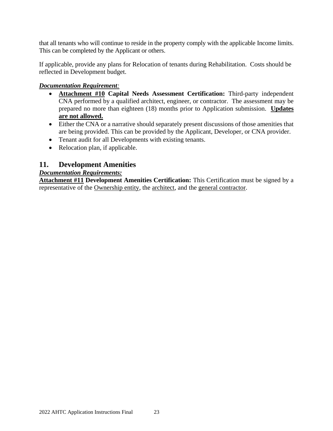that all tenants who will continue to reside in the property comply with the applicable Income limits. This can be completed by the Applicant or others.

If applicable, provide any plans for Relocation of tenants during Rehabilitation. Costs should be reflected in Development budget.

#### *Documentation Requirement:*

- **Attachment #10 Capital Needs Assessment Certification:** Third-party independent CNA performed by a qualified architect, engineer, or contractor. The assessment may be prepared no more than eighteen (18) months prior to Application submission. **Updates are not allowed.**
- Either the CNA or a narrative should separately present discussions of those amenities that are being provided. This can be provided by the Applicant, Developer, or CNA provider.
- Tenant audit for all Developments with existing tenants.
- Relocation plan, if applicable.

## <span id="page-22-0"></span>**11. Development Amenities**

#### *Documentation Requirements:*

**Attachment #11 Development Amenities Certification:** This Certification must be signed by a representative of the Ownership entity, the architect, and the general contractor.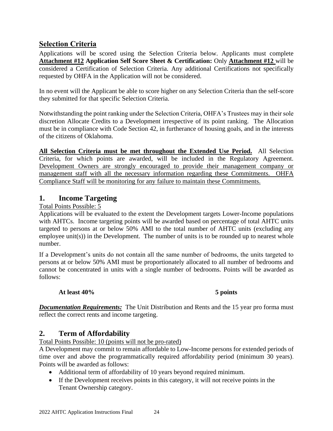## <span id="page-23-0"></span>**Selection Criteria**

Applications will be scored using the Selection Criteria below. Applicants must complete **Attachment #12 Application Self Score Sheet & Certification:** Only **Attachment #12** will be considered a Certification of Selection Criteria. Any additional Certifications not specifically requested by OHFA in the Application will not be considered.

In no event will the Applicant be able to score higher on any Selection Criteria than the self-score they submitted for that specific Selection Criteria.

Notwithstanding the point ranking under the Selection Criteria, OHFA's Trustees may in their sole discretion Allocate Credits to a Development irrespective of its point ranking. The Allocation must be in compliance with Code Section 42, in furtherance of housing goals, and in the interests of the citizens of Oklahoma.

**All Selection Criteria must be met throughout the Extended Use Period.** All Selection Criteria, for which points are awarded, will be included in the Regulatory Agreement. Development Owners are strongly encouraged to provide their management company or management staff with all the necessary information regarding these Commitments. OHFA Compliance Staff will be monitoring for any failure to maintain these Commitments.

## <span id="page-23-1"></span>**1. Income Targeting**

Total Points Possible: 5

Applications will be evaluated to the extent the Development targets Lower-Income populations with AHTCs. Income targeting points will be awarded based on percentage of total AHTC units targeted to persons at or below 50% AMI to the total number of AHTC units (excluding any employee unit(s)) in the Development. The number of units is to be rounded up to nearest whole number.

If a Development's units do not contain all the same number of bedrooms, the units targeted to persons at or below 50% AMI must be proportionately allocated to all number of bedrooms and cannot be concentrated in units with a single number of bedrooms. Points will be awarded as follows:

#### **At least 40% 5 points**

*Documentation Requirements:* The Unit Distribution and Rents and the 15 year pro forma must reflect the correct rents and income targeting.

## <span id="page-23-2"></span>**2. Term of Affordability**

Total Points Possible: 10 (points will not be pro-rated)

A Development may commit to remain affordable to Low-Income persons for extended periods of time over and above the programmatically required affordability period (minimum 30 years). Points will be awarded as follows:

- Additional term of affordability of 10 years beyond required minimum.
- If the Development receives points in this category, it will not receive points in the Tenant Ownership category.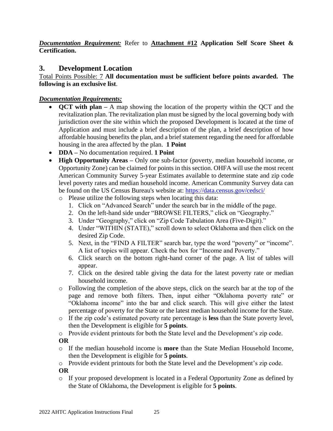*Documentation Requirement:* Refer to **Attachment #12 Application Self Score Sheet & Certification.** 

## <span id="page-24-0"></span>**3. Development Location**

Total Points Possible: 7 **All documentation must be sufficient before points awarded. The following is an exclusive list**.

#### *Documentation Requirements:*

- **QCT with plan** A map showing the location of the property within the QCT and the revitalization plan. The revitalization plan must be signed by the local governing body with jurisdiction over the site within which the proposed Development is located at the time of Application and must include a brief description of the plan, a brief description of how affordable housing benefits the plan, and a brief statement regarding the need for affordable housing in the area affected by the plan. **1 Point**
- **DDA –** No documentation required. **1 Point**
- **High Opportunity Areas –** Only one sub-factor (poverty, median household income, or Opportunity Zone) can be claimed for points in this section. OHFA will use the most recent American Community Survey 5-year Estimates available to determine state and zip code level poverty rates and median household income. American Community Survey data can be found on the US Census Bureau's website at: <https://data.census.gov/cedsci/>
	- o Please utilize the following steps when locating this data:
		- 1. Click on "Advanced Search" under the search bar in the middle of the page.
		- 2. On the left-hand side under "BROWSE FILTERS," click on "Geography."
		- 3. Under "Geography," click on "Zip Code Tabulation Area (Five-Digit)."
		- 4. Under "WITHIN (STATE)," scroll down to select Oklahoma and then click on the desired Zip Code.
		- 5. Next, in the "FIND A FILTER" search bar, type the word "poverty" or "income". A list of topics will appear. Check the box for "Income and Poverty."
		- 6. Click search on the bottom right-hand corner of the page. A list of tables will appear.
		- 7. Click on the desired table giving the data for the latest poverty rate or median household income.
	- o Following the completion of the above steps, click on the search bar at the top of the page and remove both filters. Then, input either "Oklahoma poverty rate" or "Oklahoma income" into the bar and click search. This will give either the latest percentage of poverty for the State or the latest median household income for the State.
	- o If the zip code's estimated poverty rate percentage is **less** than the State poverty level, then the Development is eligible for **5 points**.

o Provide evident printouts for both the State level and the Development's zip code.

#### **OR**

o If the median household income is **more** than the State Median Household Income, then the Development is eligible for **5 points**.

o Provide evident printouts for both the State level and the Development's zip code.

**OR** 

o If your proposed development is located in a Federal Opportunity Zone as defined by the State of Oklahoma, the Development is eligible for **5 points**.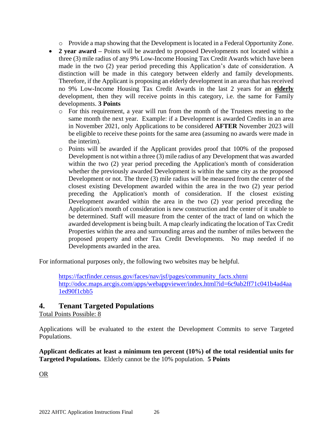o Provide a map showing that the Development is located in a Federal Opportunity Zone.

- **2 year award** Points will be awarded to proposed Developments not located within a three (3) mile radius of any 9% Low-Income Housing Tax Credit Awards which have been made in the two (2) year period preceding this Application's date of consideration. A distinction will be made in this category between elderly and family developments. Therefore, if the Applicant is proposing an elderly development in an area that has received no 9% Low-Income Housing Tax Credit Awards in the last 2 years for an **elderly** development, then they will receive points in this category, i.e. the same for Family developments. **3 Points**
	- o For this requirement, a year will run from the month of the Trustees meeting to the same month the next year. Example: if a Development is awarded Credits in an area in November 2021, only Applications to be considered **AFTER** November 2023 will be eligible to receive these points for the same area (assuming no awards were made in the interim).
	- o Points will be awarded if the Applicant provides proof that 100% of the proposed Development is not within a three (3) mile radius of any Development that was awarded within the two (2) year period preceding the Application's month of consideration whether the previously awarded Development is within the same city as the proposed Development or not. The three (3) mile radius will be measured from the center of the closest existing Development awarded within the area in the two (2) year period preceding the Application's month of consideration. If the closest existing Development awarded within the area in the two (2) year period preceding the Application's month of consideration is new construction and the center of it unable to be determined. Staff will measure from the center of the tract of land on which the awarded development is being built. A map clearly indicating the location of Tax Credit Properties within the area and surrounding areas and the number of miles between the proposed property and other Tax Credit Developments. No map needed if no Developments awarded in the area.

For informational purposes only, the following two websites may be helpful.

[https://factfinder.census.gov/faces/nav/jsf/pages/community\\_facts.xhtm](https://factfinder.census.gov/faces/nav/jsf/pages/community_facts.xhtml)l [http://odoc.maps.arcgis.com/apps/webappviewer/index.html?id=6c9ab2ff71c041b4ad4aa](http://odoc.maps.arcgis.com/apps/webappviewer/index.html?id=6c9ab2ff71c041b4ad4aa1ed90f1cbb5) [1ed90f1cbb5](http://odoc.maps.arcgis.com/apps/webappviewer/index.html?id=6c9ab2ff71c041b4ad4aa1ed90f1cbb5)

## <span id="page-25-0"></span>**4. Tenant Targeted Populations**

Total Points Possible: 8

Applications will be evaluated to the extent the Development Commits to serve Targeted Populations.

**Applicant dedicates at least a minimum ten percent (10%) of the total residential units for Targeted Populations.** Elderly cannot be the 10% population. **5 Points**

OR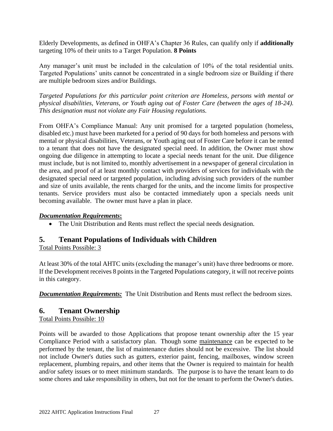Elderly Developments, as defined in OHFA's Chapter 36 Rules, can qualify only if **additionally** targeting 10% of their units to a Target Population. **8 Points** 

Any manager's unit must be included in the calculation of 10% of the total residential units. Targeted Populations' units cannot be concentrated in a single bedroom size or Building if there are multiple bedroom sizes and/or Buildings.

*Targeted Populations for this particular point criterion are Homeless, persons with mental or physical disabilities, Veterans, or Youth aging out of Foster Care (between the ages of 18-24). This designation must not violate any Fair Housing regulations.*

From OHFA's Compliance Manual: Any unit promised for a targeted population (homeless, disabled etc.) must have been marketed for a period of 90 days for both homeless and persons with mental or physical disabilities, Veterans, or Youth aging out of Foster Care before it can be rented to a tenant that does not have the designated special need. In addition, the Owner must show ongoing due diligence in attempting to locate a special needs tenant for the unit. Due diligence must include, but is not limited to, monthly advertisement in a newspaper of general circulation in the area, and proof of at least monthly contact with providers of services for individuals with the designated special need or targeted population, including advising such providers of the number and size of units available, the rents charged for the units, and the income limits for prospective tenants. Service providers must also be contacted immediately upon a specials needs unit becoming available. The owner must have a plan in place.

#### *Documentation Requirements***:**

• The Unit Distribution and Rents must reflect the special needs designation.

## <span id="page-26-0"></span>**5. Tenant Populations of Individuals with Children**

Total Points Possible: 3

At least 30% of the total AHTC units (excluding the manager's unit) have three bedrooms or more. If the Development receives 8 points in the Targeted Populations category, it will not receive points in this category.

*Documentation Requirements:* The Unit Distribution and Rents must reflect the bedroom sizes.

## <span id="page-26-1"></span>**6. Tenant Ownership**

Total Points Possible: 10

Points will be awarded to those Applications that propose tenant ownership after the 15 year Compliance Period with a satisfactory plan. Though some maintenance can be expected to be performed by the tenant, the list of maintenance duties should not be excessive. The list should not include Owner's duties such as gutters, exterior paint, fencing, mailboxes, window screen replacement, plumbing repairs, and other items that the Owner is required to maintain for health and/or safety issues or to meet minimum standards. The purpose is to have the tenant learn to do some chores and take responsibility in others, but not for the tenant to perform the Owner's duties.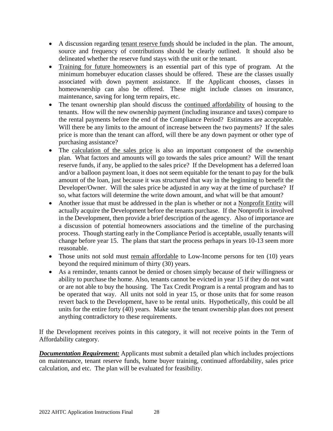- A discussion regarding tenant reserve funds should be included in the plan. The amount, source and frequency of contributions should be clearly outlined. It should also be delineated whether the reserve fund stays with the unit or the tenant.
- Training for future homeowners is an essential part of this type of program. At the minimum homebuyer education classes should be offered. These are the classes usually associated with down payment assistance. If the Applicant chooses, classes in homeownership can also be offered. These might include classes on insurance, maintenance, saving for long term repairs, etc.
- The tenant ownership plan should discuss the continued affordability of housing to the tenants. How will the new ownership payment (including insurance and taxes) compare to the rental payments before the end of the Compliance Period? Estimates are acceptable. Will there be any limits to the amount of increase between the two payments? If the sales price is more than the tenant can afford, will there be any down payment or other type of purchasing assistance?
- The calculation of the sales price is also an important component of the ownership plan. What factors and amounts will go towards the sales price amount? Will the tenant reserve funds, if any, be applied to the sales price? If the Development has a deferred loan and/or a balloon payment loan, it does not seem equitable for the tenant to pay for the bulk amount of the loan, just because it was structured that way in the beginning to benefit the Developer/Owner. Will the sales price be adjusted in any way at the time of purchase? If so, what factors will determine the write down amount, and what will be that amount?
- Another issue that must be addressed in the plan is whether or not a Nonprofit Entity will actually acquire the Development before the tenants purchase. If the Nonprofit is involved in the Development, then provide a brief description of the agency. Also of importance are a discussion of potential homeowners associations and the timeline of the purchasing process. Though starting early in the Compliance Period is acceptable, usually tenants will change before year 15. The plans that start the process perhaps in years 10-13 seem more reasonable.
- Those units not sold must remain affordable to Low-Income persons for ten (10) years beyond the required minimum of thirty (30) years.
- As a reminder, tenants cannot be denied or chosen simply because of their willingness or ability to purchase the home. Also, tenants cannot be evicted in year 15 if they do not want or are not able to buy the housing. The Tax Credit Program is a rental program and has to be operated that way. All units not sold in year 15, or those units that for some reason revert back to the Development, have to be rental units. Hypothetically, this could be all units for the entire forty (40) years. Make sure the tenant ownership plan does not present anything contradictory to these requirements.

If the Development receives points in this category, it will not receive points in the Term of Affordability category.

*Documentation Requirement:* Applicants must submit a detailed plan which includes projections on maintenance, tenant reserve funds, home buyer training, continued affordability, sales price calculation, and etc. The plan will be evaluated for feasibility.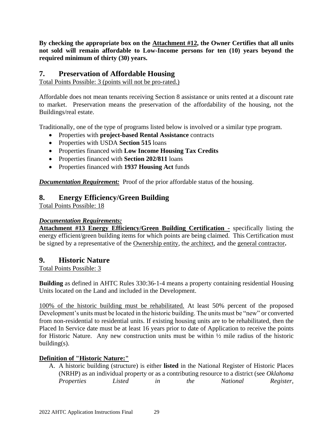**By checking the appropriate box on the Attachment #12, the Owner Certifies that all units not sold will remain affordable to Low-Income persons for ten (10) years beyond the required minimum of thirty (30) years.**

## <span id="page-28-0"></span>**7. Preservation of Affordable Housing**

Total Points Possible: 3 (points will not be pro-rated.)

Affordable does not mean tenants receiving Section 8 assistance or units rented at a discount rate to market. Preservation means the preservation of the affordability of the housing, not the Buildings/real estate.

Traditionally, one of the type of programs listed below is involved or a similar type program.

- Properties with **project-based Rental Assistance** contracts
- Properties with USDA **Section 515** loans
- Properties financed with **Low Income Housing Tax Credits**
- Properties financed with **Section 202/811** loans
- Properties financed with **1937 Housing Act** funds

*Documentation Requirement:* Proof of the prior affordable status of the housing.

## <span id="page-28-1"></span>**8. Energy Efficiency/Green Building**

Total Points Possible: 18

#### *Documentation Requirements:*

**Attachment #13 Energy Efficiency/Green Building Certification -** specifically listing the energy efficient/green building items for which points are being claimed. This Certification must be signed by a representative of the Ownership entity, the architect, and the general contractor**.** 

#### <span id="page-28-2"></span>**9. Historic Nature**

Total Points Possible: 3

**Building** as defined in AHTC Rules 330:36-1-4 means a property containing residential Housing Units located on the Land and included in the Development.

100% of the historic building must be rehabilitated. At least 50% percent of the proposed Development's units must be located in the historic building. The units must be "new" or converted from non-residential to residential units. If existing housing units are to be rehabilitated, then the Placed In Service date must be at least 16 years prior to date of Application to receive the points for Historic Nature. Any new construction units must be within ½ mile radius of the historic building(s).

#### **Definition of "Historic Nature:"**

A. A historic building (structure) is either **listed** in the National Register of Historic Places (NRHP) as an individual property or as a contributing resource to a district (see *Oklahoma Properties Listed in the National Register,*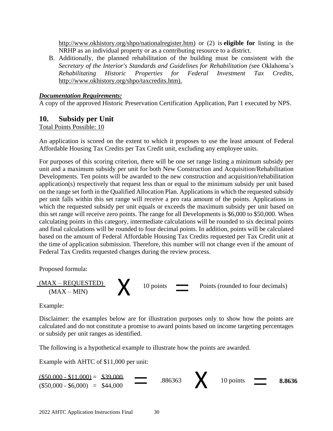[http://www.okhistory.org/shpo/nationalregister.htm\)](http://www.okhistory.org/shpo/nationalregister.htm) or (2) is **eligible for** listing in the NRHP as an individual property or as a contributing resource to a district.

B. Additionally, the planned rehabilitation of the building must be consistent with the *Secretary of the Interior's Standards and Guidelines for Rehabilitation (*see Oklahoma's *Rehabilitating Historic Properties for Federal Investment Tax Credits,*  [http://www.okhistory.org/shpo/taxcredits.htm\)](http://www.okhistory.org/shpo/taxcredits.htm).

#### *Documentation Requirements:*

A copy of the approved Historic Preservation Certification Application, Part 1 executed by NPS.

#### <span id="page-29-0"></span>**10. Subsidy per Unit**

#### Total Points Possible: 10

An application is scored on the extent to which it proposes to use the least amount of Federal Affordable Housing Tax Credits per Tax Credit unit, excluding any employee units.

For purposes of this scoring criterion, there will be one set range listing a minimum subsidy per unit and a maximum subsidy per unit for both New Construction and Acquisition/Rehabilitation Developments. Ten points will be awarded to the new construction and acquisition/rehabilitation application(s) respectively that request less than or equal to the minimum subsidy per unit based on the range set forth in the Qualified Allocation Plan. Applications in which the requested subsidy per unit falls within this set range will receive a pro rata amount of the points. Applications in which the requested subsidy per unit equals or exceeds the maximum subsidy per unit based on this set range will receive zero points. The range for all Developments is \$6,000 to \$50,000. When calculating points in this category, intermediate calculations will be rounded to six decimal points and final calculations will be rounded to four decimal points. In addition, points will be calculated based on the amount of Federal Affordable Housing Tax Credits requested per Tax Credit unit at the time of application submission. Therefore, this number will not change even if the amount of Federal Tax Credits requested changes during the review process.

Proposed formula:



Example:

Disclaimer: the examples below are for illustration purposes only to show how the points are calculated and do not constitute a promise to award points based on income targeting percentages or subsidy per unit ranges as identified.

The following is a hypothetical example to illustrate how the points are awarded.

Example with AHTC of \$11,000 per unit:

.886363  $\frac{\textbf{($50,000 - $11,000)}}{\textbf{($50,000 - $6,000)}} = \frac{$39,000}{444,000} = 0.886363$  10 points  $($50,000 - $11,000) = $39,000$  $\frac{$39,000}{$44,000}$  = .886363 <br>  $\bigtimes$  10 points = 8.8636  $($50,000 - $6,000) = $44,000$  $=$   $\overline{ }$   $\overline{ }$   $\overline{ }$   $\overline{ }$   $\overline{ }$   $\overline{ }$   $\overline{ }$   $\overline{ }$   $\overline{ }$   $\overline{ }$   $\overline{ }$   $\overline{ }$   $\overline{ }$   $\overline{ }$   $\overline{ }$   $\overline{ }$   $\overline{ }$   $\overline{ }$   $\overline{ }$   $\overline{ }$   $\overline{ }$   $\overline{ }$   $\overline{ }$   $\overline{ }$   $\overline{ }$   $\overline{ }$   $\overline{ }$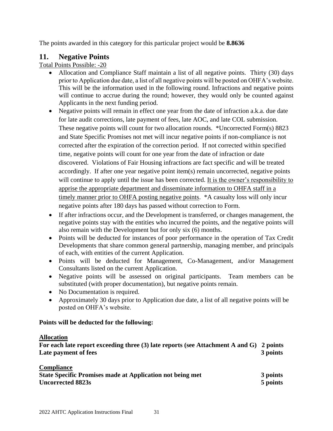The points awarded in this category for this particular project would be **8.8636**

## <span id="page-30-0"></span>**11. Negative Points**

Total Points Possible: -20

- Allocation and Compliance Staff maintain a list of all negative points. Thirty (30) days prior to Application due date, a list of all negative points will be posted on OHFA's website. This will be the information used in the following round. Infractions and negative points will continue to accrue during the round; however, they would only be counted against Applicants in the next funding period.
- Negative points will remain in effect one year from the date of infraction a.k.a. due date for late audit corrections, late payment of fees, late AOC, and late COL submission. These negative points will count for two allocation rounds. \*Uncorrected Form(s) 8823 and State Specific Promises not met will incur negative points if non-compliance is not corrected after the expiration of the correction period. If not corrected within specified time, negative points will count for one year from the date of infraction or date discovered. Violations of Fair Housing infractions are fact specific and will be treated accordingly. If after one year negative point item(s) remain uncorrected, negative points will continue to apply until the issue has been corrected. It is the owner's responsibility to apprise the appropriate department and disseminate information to OHFA staff in a timely manner prior to OHFA posting negative points. \*A casualty loss will only incur negative points after 180 days has passed without correction to Form.
- If after infractions occur, and the Development is transferred, or changes management, the negative points stay with the entities who incurred the points, and the negative points will also remain with the Development but for only six (6) months.
- Points will be deducted for instances of poor performance in the operation of Tax Credit Developments that share common general partnership, managing member, and principals of each, with entities of the current Application.
- Points will be deducted for Management, Co-Management, and/or Management Consultants listed on the current Application.
- Negative points will be assessed on original participants. Team members can be substituted (with proper documentation), but negative points remain.
- No Documentation is required.
- Approximately 30 days prior to Application due date, a list of all negative points will be posted on OHFA's website.

#### **Points will be deducted for the following:**

#### **Allocation**

**For each late report exceeding three (3) late reports (see Attachment A and G) 2 points Late payment of fees** 3 points 3 points

| <b>Compliance</b>                                                |          |
|------------------------------------------------------------------|----------|
| <b>State Specific Promises made at Application not being met</b> | 3 points |
| <b>Uncorrected 8823s</b>                                         | 5 points |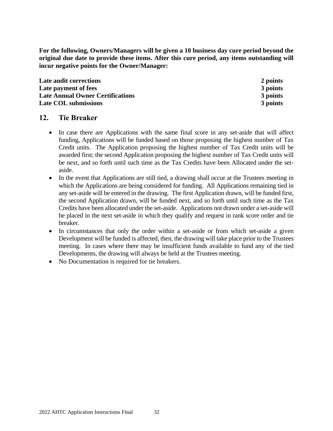**For the following, Owners/Managers will be given a 10 business day cure period beyond the original due date to provide these items. After this cure period, any items outstanding will incur negative points for the Owner/Manager:**

**Late audit corrections 2 points Late payment of fees** 3 **points** 3 **points Late Annual Owner Certifications 3 points Late COL submissions 3 points**

#### <span id="page-31-0"></span>**12. Tie Breaker**

- In case there are Applications with the same final score in any set-aside that will affect funding, Applications will be funded based on those proposing the highest number of Tax Credit units. The Application proposing the highest number of Tax Credit units will be awarded first; the second Application proposing the highest number of Tax Credit units will be next, and so forth until such time as the Tax Credits have been Allocated under the setaside.
- In the event that Applications are still tied, a drawing shall occur at the Trustees meeting in which the Applications are being considered for funding. All Applications remaining tied in any set-aside will be entered in the drawing. The first Application drawn, will be funded first, the second Application drawn, will be funded next, and so forth until such time as the Tax Credits have been allocated under the set-aside. Applications not drawn under a set-aside will be placed in the next set-aside in which they qualify and request in rank score order and tie breaker.
- In circumstances that only the order within a set-aside or from which set-aside a given Development will be funded is affected, then, the drawing will take place prior to the Trustees meeting. In cases where there may be insufficient funds available to fund any of the tied Developments, the drawing will always be held at the Trustees meeting.
- No Documentation is required for tie breakers.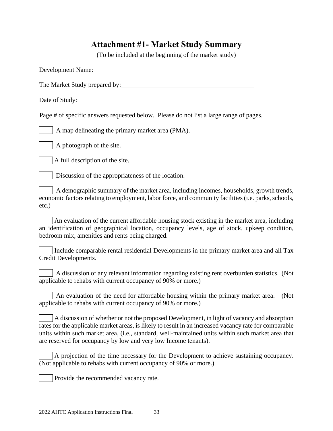# **Attachment #1- Market Study Summary**

(To be included at the beginning of the market study)

<span id="page-32-0"></span>

| The Market Study prepared by:                                                                                                                                                                                                                                                                                                                                                  |
|--------------------------------------------------------------------------------------------------------------------------------------------------------------------------------------------------------------------------------------------------------------------------------------------------------------------------------------------------------------------------------|
| Date of Study:                                                                                                                                                                                                                                                                                                                                                                 |
| Page # of specific answers requested below. Please do not list a large range of pages.                                                                                                                                                                                                                                                                                         |
| A map delineating the primary market area (PMA).                                                                                                                                                                                                                                                                                                                               |
| A photograph of the site.                                                                                                                                                                                                                                                                                                                                                      |
| A full description of the site.                                                                                                                                                                                                                                                                                                                                                |
| Discussion of the appropriateness of the location.                                                                                                                                                                                                                                                                                                                             |
| A demographic summary of the market area, including incomes, households, growth trends,<br>economic factors relating to employment, labor force, and community facilities (i.e. parks, schools,<br>$etc.$ )                                                                                                                                                                    |
| An evaluation of the current affordable housing stock existing in the market area, including<br>an identification of geographical location, occupancy levels, age of stock, upkeep condition,<br>bedroom mix, amenities and rents being charged.                                                                                                                               |
| Include comparable rental residential Developments in the primary market area and all Tax<br>Credit Developments.                                                                                                                                                                                                                                                              |
| A discussion of any relevant information regarding existing rent overburden statistics. (Not<br>applicable to rehabs with current occupancy of 90% or more.)                                                                                                                                                                                                                   |
| An evaluation of the need for affordable housing within the primary market area.<br>(Not<br>applicable to rehabs with current occupancy of 90% or more.)                                                                                                                                                                                                                       |
| A discussion of whether or not the proposed Development, in light of vacancy and absorption<br>rates for the applicable market areas, is likely to result in an increased vacancy rate for comparable<br>units within such market area, (i.e., standard, well-maintained units within such market area that<br>are reserved for occupancy by low and very low Income tenants). |
| A projection of the time necessary for the Development to achieve sustaining occupancy.<br>(Not applicable to rehabs with current occupancy of 90% or more.)                                                                                                                                                                                                                   |
| Provide the recommended vacancy rate.                                                                                                                                                                                                                                                                                                                                          |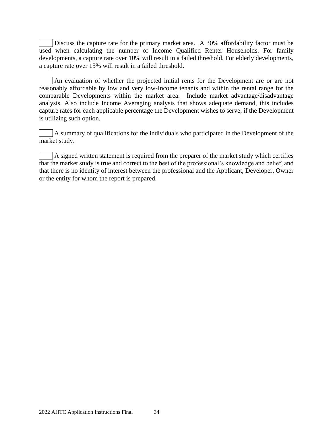Discuss the capture rate for the primary market area. A 30% affordability factor must be used when calculating the number of Income Qualified Renter Households. For family developments, a capture rate over 10% will result in a failed threshold. For elderly developments, a capture rate over 15% will result in a failed threshold.

An evaluation of whether the projected initial rents for the Development are or are not reasonably affordable by low and very low-Income tenants and within the rental range for the comparable Developments within the market area. Include market advantage/disadvantage analysis. Also include Income Averaging analysis that shows adequate demand, this includes capture rates for each applicable percentage the Development wishes to serve, if the Development is utilizing such option.

A summary of qualifications for the individuals who participated in the Development of the market study.

A signed written statement is required from the preparer of the market study which certifies that the market study is true and correct to the best of the professional's knowledge and belief, and that there is no identity of interest between the professional and the Applicant, Developer, Owner or the entity for whom the report is prepared.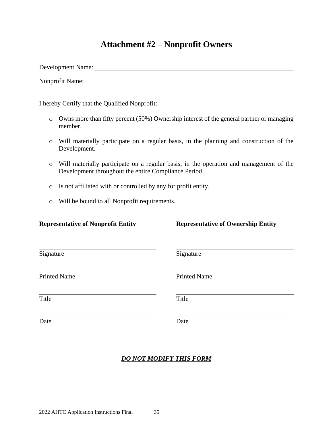## **Attachment #2 – Nonprofit Owners**

<span id="page-34-0"></span>Development Name:

Nonprofit Name:

I hereby Certify that the Qualified Nonprofit:

- o Owns more than fifty percent (50%) Ownership interest of the general partner or managing member.
- o Will materially participate on a regular basis, in the planning and construction of the Development.
- o Will materially participate on a regular basis, in the operation and management of the Development throughout the entire Compliance Period.
- o Is not affiliated with or controlled by any for profit entity.
- o Will be bound to all Nonprofit requirements.

#### **Representative of Nonprofit Entity Representative of Ownership Entity**

| Signature           | Signature           |  |
|---------------------|---------------------|--|
| <b>Printed Name</b> | <b>Printed Name</b> |  |
| Title               | Title               |  |
| Date                | Date                |  |

## *DO NOT MODIFY THIS FORM*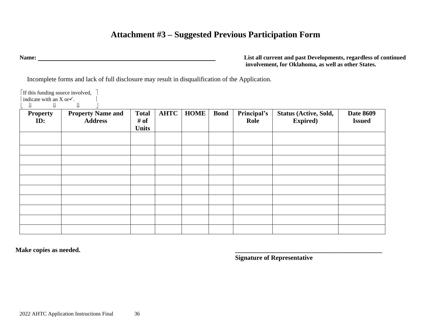# **Attachment #3 – Suggested Previous Participation Form**

 $\lceil$  If this funding source involved,  $\lceil$ 

**Name: List all current and past Developments, regardless of continued involvement, for Oklahoma, as well as other States.**

Incomplete forms and lack of full disclosure may result in disqualification of the Application.

<span id="page-35-0"></span>

| <b>Property</b><br>ID: | <b>Property Name and</b><br><b>Address</b> | <b>Total</b><br># of<br><b>Units</b> | <b>AHTC</b> | <b>HOME</b> | <b>Bond</b> | Principal's<br>Role | Status (Active, Sold,<br><b>Expired</b> ) | <b>Date 8609</b><br><b>Issued</b> |
|------------------------|--------------------------------------------|--------------------------------------|-------------|-------------|-------------|---------------------|-------------------------------------------|-----------------------------------|
|                        |                                            |                                      |             |             |             |                     |                                           |                                   |
|                        |                                            |                                      |             |             |             |                     |                                           |                                   |
|                        |                                            |                                      |             |             |             |                     |                                           |                                   |
|                        |                                            |                                      |             |             |             |                     |                                           |                                   |
|                        |                                            |                                      |             |             |             |                     |                                           |                                   |
|                        |                                            |                                      |             |             |             |                     |                                           |                                   |
|                        |                                            |                                      |             |             |             |                     |                                           |                                   |

**Make copies as needed. \_\_\_\_\_\_\_\_\_\_\_\_\_\_\_\_\_\_\_\_\_\_\_\_\_\_\_\_\_\_\_\_\_\_\_\_\_\_\_\_\_\_\_\_\_**

**Signature of Representative**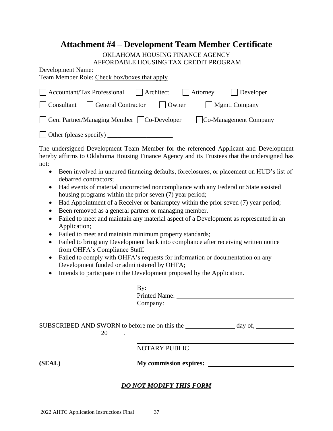# **Attachment #4 – Development Team Member Certificate**

#### OKLAHOMA HOUSING FINANCE AGENCY AFFORDABLE HOUSING TAX CREDIT PROGRAM

| AFFUNDADLE HUUSINU TAA UNEDIT FNUUNAM                                                   |
|-----------------------------------------------------------------------------------------|
| Development Name:                                                                       |
| Team Member Role: Check box/boxes that apply                                            |
|                                                                                         |
| Accountant/Tax Professional       Architect<br>$\vert$ Attorney<br>  Developer          |
| General Contractor<br>    Mgmt. Company<br>$\vert$ Owner<br>  Consultant                |
| $\Box$ Gen. Partner/Managing Member $\Box$ Co-Developer<br><b>Co-Management Company</b> |
|                                                                                         |
| $\Box$ Other (please specify)                                                           |

The undersigned Development Team Member for the referenced Applicant and Development hereby affirms to Oklahoma Housing Finance Agency and its Trustees that the undersigned has not:

- Been involved in uncured financing defaults, foreclosures, or placement on HUD's list of debarred contractors;
- Had events of material uncorrected noncompliance with any Federal or State assisted housing programs within the prior seven (7) year period;
- Had Appointment of a Receiver or bankruptcy within the prior seven (7) year period;
- Been removed as a general partner or managing member.
- Failed to meet and maintain any material aspect of a Development as represented in an Application;
- Failed to meet and maintain minimum property standards;
- Failed to bring any Development back into compliance after receiving written notice from OHFA's Compliance Staff.
- Failed to comply with OHFA's requests for information or documentation on any Development funded or administered by OHFA;
- Intends to participate in the Development proposed by the Application.

| By:                  |
|----------------------|
| <b>Printed Name:</b> |
| Company:             |

SUBSCRIBED AND SWORN to before me on this the day of, 20 .

NOTARY PUBLIC

**(SEAL) My commission expires:**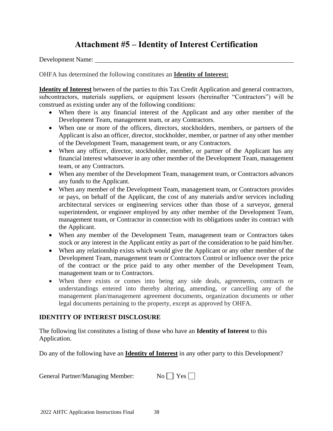# **Attachment #5 – Identity of Interest Certification**

Development Name:

OHFA has determined the following constitutes an **Identity of Interest:**

**Identity of Interest** between of the parties to this Tax Credit Application and general contractors, subcontractors, materials suppliers, or equipment lessors (hereinafter "Contractors") will be construed as existing under any of the following conditions:

- When there is any financial interest of the Applicant and any other member of the Development Team, management team, or any Contractors.
- When one or more of the officers, directors, stockholders, members, or partners of the Applicant is also an officer, director, stockholder, member, or partner of any other member of the Development Team, management team, or any Contractors.
- When any officer, director, stockholder, member, or partner of the Applicant has any financial interest whatsoever in any other member of the Development Team, management team, or any Contractors.
- When any member of the Development Team, management team, or Contractors advances any funds to the Applicant.
- When any member of the Development Team, management team, or Contractors provides or pays, on behalf of the Applicant, the cost of any materials and/or services including architectural services or engineering services other than those of a surveyor, general superintendent, or engineer employed by any other member of the Development Team, management team, or Contractor in connection with its obligations under its contract with the Applicant.
- When any member of the Development Team, management team or Contractors takes stock or any interest in the Applicant entity as part of the consideration to be paid him/her.
- When any relationship exists which would give the Applicant or any other member of the Development Team, management team or Contractors Control or influence over the price of the contract or the price paid to any other member of the Development Team, management team or to Contractors.
- When there exists or comes into being any side deals, agreements, contracts or understandings entered into thereby altering, amending, or cancelling any of the management plan/management agreement documents, organization documents or other legal documents pertaining to the property, except as approved by OHFA.

#### **IDENTITY OF INTEREST DISCLOSURE**

The following list constitutes a listing of those who have an **Identity of Interest** to this Application.

Do any of the following have an **Identity of Interest** in any other party to this Development?

| <b>General Partner/Managing Member:</b> |  | $No \tI$ Yes $\Box$ |  |
|-----------------------------------------|--|---------------------|--|
|-----------------------------------------|--|---------------------|--|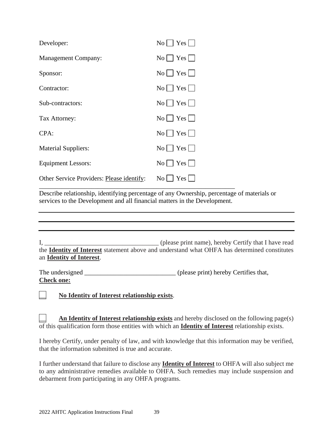| Developer:                                | $No \mid Yes \mid$            |
|-------------------------------------------|-------------------------------|
| <b>Management Company:</b>                | $No \rvert \rvert Yes \rvert$ |
| Sponsor:                                  | $No \rvert \rvert Yes \rvert$ |
| Contractor:                               |                               |
| Sub-contractors:                          | $\text{No}$   $\text{Yes}$    |
| Tax Attorney:                             | $No \mid Yes \mid$            |
| CPA:                                      | $\text{No}$   $\text{Yes}$    |
| <b>Material Suppliers:</b>                | $No \rvert \rvert Yes \rvert$ |
| Equipment Lessors:                        | $\text{No}$   Yes             |
| Other Service Providers: Please identify: | $\text{No}$   Yes             |

Describe relationship, identifying percentage of any Ownership, percentage of materials or services to the Development and all financial matters in the Development.

\_\_\_\_\_\_\_\_\_\_\_\_\_\_\_\_\_\_\_\_\_\_\_\_\_\_\_\_\_\_\_\_\_\_\_\_\_\_\_\_\_\_\_\_\_\_\_\_\_\_\_\_\_\_\_\_\_\_\_\_

I*,* \_\_\_\_\_\_\_\_\_\_\_\_\_\_\_\_\_\_\_\_\_\_\_\_\_\_\_\_\_\_\_\_\_\_\_ (please print name), hereby Certify that I have read the **Identity of Interest** statement above and understand what OHFA has determined constitutes an **Identity of Interest**.

The undersigned (please print) hereby Certifies that, **Check one:**

\_\_ **No Identity of Interest relationship exists**.

An Identity of Interest relationship exists and hereby disclosed on the following page(s) of this qualification form those entities with which an **Identity of Interest** relationship exists.

I hereby Certify, under penalty of law, and with knowledge that this information may be verified, that the information submitted is true and accurate.

I further understand that failure to disclose any **Identity of Interest** to OHFA will also subject me to any administrative remedies available to OHFA. Such remedies may include suspension and debarment from participating in any OHFA programs.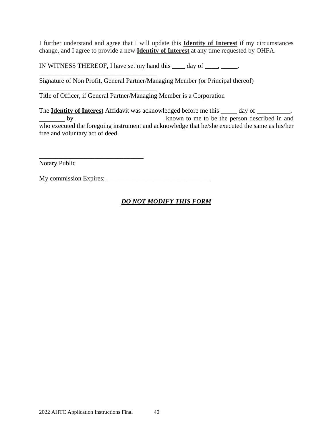I further understand and agree that I will update this **Identity of Interest** if my circumstances change, and I agree to provide a new **Identity of Interest** at any time requested by OHFA.

IN WITNESS THEREOF, I have set my hand this  $\_\_\_$  day of  $\_\_\_\_\_\_\_\_\_\_\_\_\_\_\_\_\_\_\_\_$ .

Signature of Non Profit, General Partner/Managing Member (or Principal thereof)

Title of Officer, if General Partner/Managing Member is a Corporation

\_\_\_\_\_\_\_\_\_\_\_\_\_\_\_\_\_\_\_\_\_\_\_\_\_\_\_\_\_\_\_\_\_\_\_\_

\_\_\_\_\_\_\_\_\_\_\_\_\_\_\_\_\_\_\_\_\_\_\_\_\_\_\_\_\_\_\_\_\_\_\_\_

\_\_\_\_\_\_\_\_\_\_\_\_\_\_\_\_\_\_\_\_\_\_\_\_\_\_\_\_\_\_\_\_

The **Identity of Interest** Affidavit was acknowledged before me this \_\_\_\_\_ day of \_\_\_\_\_\_\_\_\_, by \_\_\_\_\_\_\_\_\_\_\_\_\_\_\_\_\_\_\_\_\_\_\_\_\_\_\_ known to me to be the person described in and who executed the foregoing instrument and acknowledge that he/she executed the same as his/her free and voluntary act of deed.

Notary Public

My commission Expires: \_\_\_\_\_\_\_\_\_\_\_\_\_\_\_\_\_\_\_\_\_\_\_\_\_\_\_\_\_\_\_\_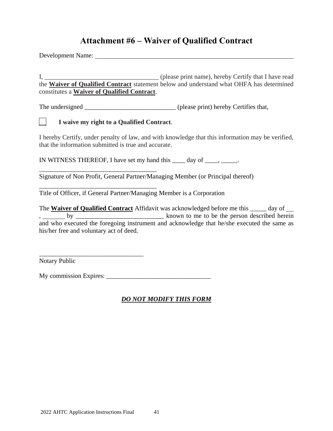# **Attachment #6 – Waiver of Qualified Contract**

Development Name:

I*,* \_\_\_\_\_\_\_\_\_\_\_\_\_\_\_\_\_\_\_\_\_\_\_\_\_\_\_\_\_\_\_\_\_\_\_ (please print name), hereby Certify that I have read the **Waiver of Qualified Contract** statement below and understand what OHFA has determined constitutes a **Waiver of Qualified Contract**.

The undersigned \_\_\_\_\_\_\_\_\_\_\_\_\_\_\_\_\_\_\_\_\_\_\_\_\_\_\_\_\_\_\_\_\_(please print) hereby Certifies that,

#### \_\_ **I waive my right to a Qualified Contract**.

\_\_\_\_\_\_\_\_\_\_\_\_\_\_\_\_\_\_\_\_\_\_\_\_\_\_\_\_\_\_\_\_\_\_\_\_

\_\_\_\_\_\_\_\_\_\_\_\_\_\_\_\_\_\_\_\_\_\_\_\_\_\_\_\_\_\_\_\_\_\_\_\_

I hereby Certify, under penalty of law, and with knowledge that this information may be verified, that the information submitted is true and accurate.

IN WITNESS THEREOF, I have set my hand this  $\_\_\_$  day of  $\_\_\_\_\_\_\_\_\_\_\_\_\_\_\_\_\_\_\_$ .

Signature of Non Profit, General Partner/Managing Member (or Principal thereof)

Title of Officer, if General Partner/Managing Member is a Corporation

The **Waiver of Qualified Contract** Affidavit was acknowledged before me this \_\_\_\_\_ day of , by \_\_\_\_\_\_\_\_\_\_\_\_\_\_\_\_\_\_\_\_\_\_\_\_\_\_\_ known to me to be the person described herein and who executed the foregoing instrument and acknowledge that he/she executed the same as his/her free and voluntary act of deed.

Notary Public

My commission Expires:

\_\_\_\_\_\_\_\_\_\_\_\_\_\_\_\_\_\_\_\_\_\_\_\_\_\_\_\_\_\_\_\_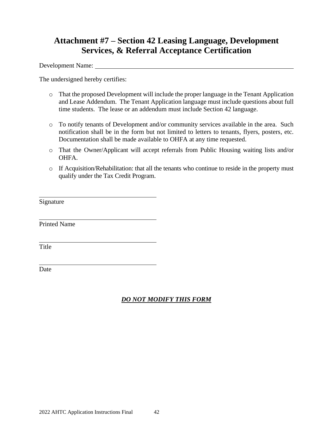# **Attachment #7 – Section 42 Leasing Language, Development Services, & Referral Acceptance Certification**

Development Name:

The undersigned hereby certifies:

- o That the proposed Development will include the proper language in the Tenant Application and Lease Addendum. The Tenant Application language must include questions about full time students. The lease or an addendum must include Section 42 language.
- o To notify tenants of Development and/or community services available in the area. Such notification shall be in the form but not limited to letters to tenants, flyers, posters, etc. Documentation shall be made available to OHFA at any time requested.
- o That the Owner/Applicant will accept referrals from Public Housing waiting lists and/or OHFA.
- o If Acquisition/Rehabilitation: that all the tenants who continue to reside in the property must qualify under the Tax Credit Program.

Signature

Printed Name

Title

Date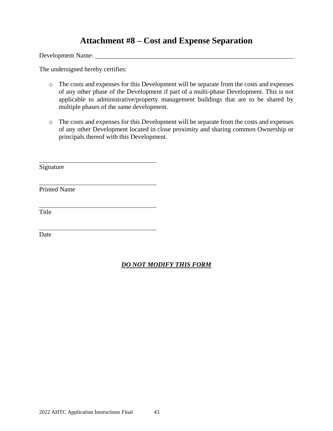# **Attachment #8 – Cost and Expense Separation**

Development Name:

The undersigned hereby certifies:

- o The costs and expenses for this Development will be separate from the costs and expenses of any other phase of the Development if part of a multi-phase Development. This is not applicable to administrative/property management buildings that are to be shared by multiple phases of the same development.
- o The costs and expenses for this Development will be separate from the costs and expenses of any other Development located in close proximity and sharing common Ownership or principals thereof with this Development.

Signature

Printed Name

Title

Date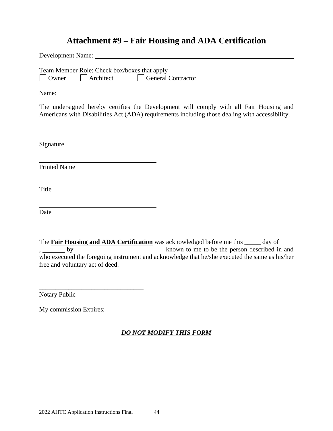# **Attachment #9 – Fair Housing and ADA Certification**

Development Name: Team Member Role: Check box/boxes that apply Owner Architect General Contractor Name: The undersigned hereby certifies the Development will comply with all Fair Housing and Americans with Disabilities Act (ADA) requirements including those dealing with accessibility. Signature Printed Name Title Date The **Fair Housing and ADA Certification** was acknowledged before me this \_\_\_\_\_ day of  $\overline{b}$ ,  $\overline{b}$  by  $\overline{b}$  known to me to be the person described in and who executed the foregoing instrument and acknowledge that he/she executed the same as his/her

Notary Public

free and voluntary act of deed.

\_\_\_\_\_\_\_\_\_\_\_\_\_\_\_\_\_\_\_\_\_\_\_\_\_\_\_\_\_\_\_\_

My commission Expires: \_\_\_\_\_\_\_\_\_\_\_\_\_\_\_\_\_\_\_\_\_\_\_\_\_\_\_\_\_\_\_\_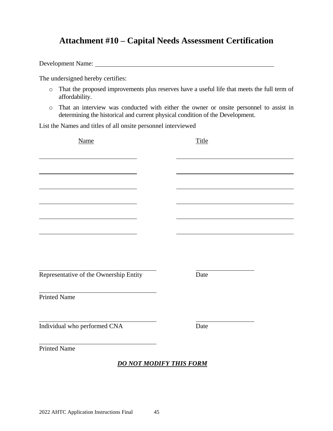# **Attachment #10 – Capital Needs Assessment Certification**

Development Name:

The undersigned hereby certifies:

- o That the proposed improvements plus reserves have a useful life that meets the full term of affordability.
- o That an interview was conducted with either the owner or onsite personnel to assist in determining the historical and current physical condition of the Development.

List the Names and titles of all onsite personnel interviewed

| <b>Name</b>                            |                                | Title |  |
|----------------------------------------|--------------------------------|-------|--|
|                                        |                                |       |  |
|                                        |                                |       |  |
|                                        |                                |       |  |
|                                        |                                |       |  |
|                                        |                                |       |  |
|                                        |                                |       |  |
|                                        |                                |       |  |
|                                        |                                |       |  |
| Representative of the Ownership Entity |                                | Date  |  |
| <b>Printed Name</b>                    |                                |       |  |
| Individual who performed CNA           |                                | Date  |  |
| <b>Printed Name</b>                    |                                |       |  |
|                                        | <b>DO NOT MODIFY THIS FORM</b> |       |  |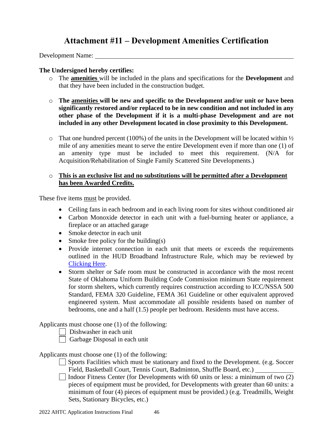# **Attachment #11 – Development Amenities Certification**

Development Name:

#### **The Undersigned hereby certifies:**

- o The **amenities** will be included in the plans and specifications for the **Development** and that they have been included in the construction budget.
- o **The amenities will be new and specific to the Development and/or unit or have been significantly restored and/or replaced to be in new condition and not included in any other phase of the Development if it is a multi-phase Development and are not included in any other Development located in close proximity to this Development.**
- $\circ$  That one hundred percent (100%) of the units in the Development will be located within  $\frac{1}{2}$ mile of any amenities meant to serve the entire Development even if more than one (1) of an amenity type must be included to meet this requirement. (N/A for Acquisition/Rehabilitation of Single Family Scattered Site Developments.)

#### o **This is an exclusive list and no substitutions will be permitted after a Development has been Awarded Credits.**

These five items must be provided.

- Ceiling fans in each bedroom and in each living room for sites without conditioned air
- Carbon Monoxide detector in each unit with a fuel-burning heater or appliance, a fireplace or an attached garage
- Smoke detector in each unit
- Smoke free policy for the building(s)
- Provide internet connection in each unit that meets or exceeds the requirements outlined in the HUD Broadband Infrastructure Rule, which may be reviewed by [Clicking Here.](https://www.govinfo.gov/content/pkg/FR-2016-12-20/pdf/2016-30708.pdf)
- Storm shelter or Safe room must be constructed in accordance with the most recent State of Oklahoma Uniform Building Code Commission minimum State requirement for storm shelters, which currently requires construction according to ICC/NSSA 500 Standard, FEMA 320 Guideline, FEMA 361 Guideline or other equivalent approved engineered system. Must accommodate all possible residents based on number of bedrooms, one and a half (1.5) people per bedroom. Residents must have access.

Applicants must choose one (1) of the following:

Dishwasher in each unit

 $\Box$  Garbage Disposal in each unit

#### Applicants must choose one (1) of the following:

- Sports Facilities which must be stationary and fixed to the Development. (e.g. Soccer Field, Basketball Court, Tennis Court, Badminton, Shuffle Board, etc.)
- $\Box$  Indoor Fitness Center (for Developments with 60 units or less: a minimum of two  $(2)$ ) pieces of equipment must be provided, for Developments with greater than 60 units: a minimum of four (4) pieces of equipment must be provided.) (e.g. Treadmills, Weight Sets, Stationary Bicycles, etc.)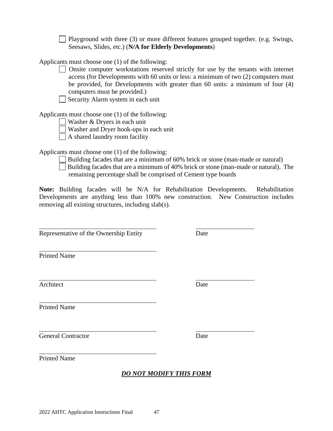Playground with three (3) or more different features grouped together. (e.g. Swings, Seesaws, Slides, etc.) (**N/A for Elderly Developments**)

Applicants must choose one (1) of the following:

- Onsite computer workstations reserved strictly for use by the tenants with internet access (for Developments with 60 units or less: a minimum of two (2) computers must be provided, for Developments with greater than 60 units: a minimum of four (4) computers must be provided.)
- Security Alarm system in each unit

Applicants must choose one (1) of the following:

- Washer & Dryers in each unit
- Washer and Dryer hook-ups in each unit
- A shared laundry room facility

Applicants must choose one (1) of the following:

- Building facades that are a minimum of 60% brick or stone (man-made or natural)
- Building facades that are a minimum of 40% brick or stone (man-made or natural). The remaining percentage shall be comprised of Cement type boards

**Note:** Building facades will be N/A for Rehabilitation Developments. Rehabilitation Developments are anything less than 100% new construction. New Construction includes removing all existing structures, including slab(s).

Representative of the Ownership Entity Date

Printed Name

Architect Date

Printed Name

General Contractor Date

Printed Name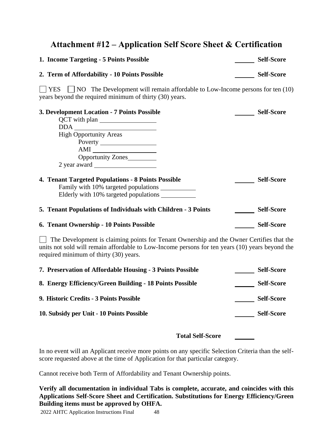# **Attachment #12 – Application Self Score Sheet & Certification**

| 1. Income Targeting - 5 Points Possible       | <b>Self-Score</b> |
|-----------------------------------------------|-------------------|
| 2. Term of Affordability - 10 Points Possible | <b>Self-Score</b> |

 $\Box$  YES  $\Box$  NO The Development will remain affordable to Low-Income persons for ten (10) years beyond the required minimum of thirty (30) years.

| 3. Development Location - 7 Points Possible                                                                                                                                                                                                                                                                                                                                                                                                           | <b>Self-Score</b> |
|-------------------------------------------------------------------------------------------------------------------------------------------------------------------------------------------------------------------------------------------------------------------------------------------------------------------------------------------------------------------------------------------------------------------------------------------------------|-------------------|
| QCT with plan                                                                                                                                                                                                                                                                                                                                                                                                                                         |                   |
|                                                                                                                                                                                                                                                                                                                                                                                                                                                       |                   |
| <b>High Opportunity Areas</b>                                                                                                                                                                                                                                                                                                                                                                                                                         |                   |
|                                                                                                                                                                                                                                                                                                                                                                                                                                                       |                   |
| $AMI \begin{tabular}{ c c c } \hline \multicolumn{1}{ c }{\textbf{AMI}} & \multicolumn{1}{ c }{\textbf{AMI}} \\ \hline \multicolumn{1}{ c }{\textbf{AMI}} & \multicolumn{1}{ c }{\textbf{AMI}} \\ \hline \multicolumn{1}{ c }{\textbf{AMI}} & \multicolumn{1}{ c }{\textbf{AMI}} \\ \hline \multicolumn{1}{ c }{\textbf{AMI}} & \multicolumn{1}{ c }{\textbf{AMI}} \\ \hline \multicolumn{1}{ c }{\textbf{AMI}} & \multicolumn{1}{ c }{\textbf{AMI}}$ |                   |
| Opportunity Zones                                                                                                                                                                                                                                                                                                                                                                                                                                     |                   |
|                                                                                                                                                                                                                                                                                                                                                                                                                                                       |                   |
| 4. Tenant Targeted Populations - 8 Points Possible<br>Family with 10% targeted populations<br>Elderly with 10% targeted populations                                                                                                                                                                                                                                                                                                                   | <b>Self-Score</b> |
| 5. Tenant Populations of Individuals with Children - 3 Points                                                                                                                                                                                                                                                                                                                                                                                         | <b>Self-Score</b> |
| 6. Tenant Ownership - 10 Points Possible                                                                                                                                                                                                                                                                                                                                                                                                              | <b>Self-Score</b> |

 $\Box$  The Development is claiming points for Tenant Ownership and the Owner Certifies that the units not sold will remain affordable to Low-Income persons for ten years (10) years beyond the required minimum of thirty (30) years.

| 7. Preservation of Affordable Housing - 3 Points Possible | <b>Self-Score</b> |
|-----------------------------------------------------------|-------------------|
| 8. Energy Efficiency/Green Building - 18 Points Possible  | <b>Self-Score</b> |
| 9. Historic Credits - 3 Points Possible                   | <b>Self-Score</b> |
| 10. Subsidy per Unit - 10 Points Possible                 | <b>Self-Score</b> |

#### **Total Self-Score**

In no event will an Applicant receive more points on any specific Selection Criteria than the selfscore requested above at the time of Application for that particular category.

Cannot receive both Term of Affordability and Tenant Ownership points.

**Verify all documentation in individual Tabs is complete, accurate, and coincides with this Applications Self-Score Sheet and Certification. Substitutions for Energy Efficiency/Green Building items must be approved by OHFA.**

2022 AHTC Application Instructions Final 48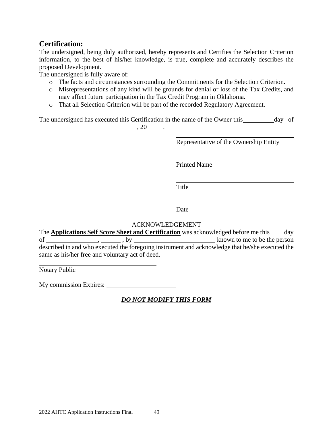### **Certification:**

The undersigned, being duly authorized, hereby represents and Certifies the Selection Criterion information, to the best of his/her knowledge, is true, complete and accurately describes the proposed Development.

The undersigned is fully aware of:

- o The facts and circumstances surrounding the Commitments for the Selection Criterion.
- o Misrepresentations of any kind will be grounds for denial or loss of the Tax Credits, and may affect future participation in the Tax Credit Program in Oklahoma.
- o That all Selection Criterion will be part of the recorded Regulatory Agreement.

The undersigned has executed this Certification in the name of the Owner this day of  $, 20$   $.$ 

Representative of the Ownership Entity

Printed Name

Title

Date

#### ACKNOWLEDGEMENT

The **Applications Self Score Sheet and Certification** was acknowledged before me this \_\_\_ day of  $\frac{1}{\sqrt{1-\frac{1}{\sqrt{1-\frac{1}{\sqrt{1-\frac{1}{\sqrt{1-\frac{1}{\sqrt{1-\frac{1}{\sqrt{1-\frac{1}{\sqrt{1-\frac{1}{\sqrt{1-\frac{1}{\sqrt{1-\frac{1}{\sqrt{1-\frac{1}{\sqrt{1-\frac{1}{\sqrt{1-\frac{1}{\sqrt{1-\frac{1}{\sqrt{1-\frac{1}{\sqrt{1-\frac{1}{\sqrt{1-\frac{1}{\sqrt{1-\frac{1}{\sqrt{1-\frac{1}{\sqrt{1-\frac{1}{\sqrt{1-\frac{1}{\sqrt{1-\frac{1}{\sqrt{1-\frac{1}{\sqrt{1-\frac{1}{\sqrt{1-\$ described in and who executed the foregoing instrument and acknowledge that he/she executed the same as his/her free and voluntary act of deed.

Notary Public

My commission Expires: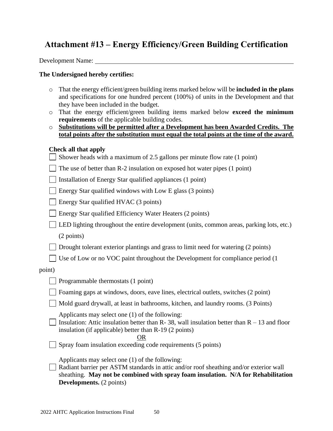# **Attachment #13 – Energy Efficiency/Green Building Certification**

Development Name:

#### **The Undersigned hereby certifies:**

- o That the energy efficient/green building items marked below will be **included in the plans**  and specifications for one hundred percent (100%) of units in the Development and that they have been included in the budget.
- o That the energy efficient/green building items marked below **exceed the minimum requirements** of the applicable building codes.
- o **Substitutions will be permitted after a Development has been Awarded Credits. The total points after the substitution must equal the total points at the time of the award.**

#### **Check all that apply**

|  | $\Box$ Shower heads with a maximum of 2.5 gallons per minute flow rate (1 point) |  |  |  |  |  |  |  |  |
|--|----------------------------------------------------------------------------------|--|--|--|--|--|--|--|--|
|--|----------------------------------------------------------------------------------|--|--|--|--|--|--|--|--|

 $\vert \vert$  The use of better than R-2 insulation on exposed hot water pipes (1 point)

Installation of Energy Star qualified appliances (1 point)

Energy Star qualified windows with Low E glass  $(3 \text{ points})$ 

 $\Box$  Energy Star qualified HVAC (3 points)

Energy Star qualified Efficiency Water Heaters (2 points)

LED lighting throughout the entire development (units, common areas, parking lots, etc.)

(2 points)

Drought tolerant exterior plantings and grass to limit need for watering (2 points)

 $\Box$  Use of Low or no VOC paint throughout the Development for compliance period (1)

#### point)

| $\Box$ Programmable thermostats (1 point) |  |
|-------------------------------------------|--|
|-------------------------------------------|--|

Foaming gaps at windows, doors, eave lines, electrical outlets, switches (2 point)

Mold guard drywall, at least in bathrooms, kitchen, and laundry rooms. (3 Points)

Applicants may select one (1) of the following:

Insulation: Attic insulation better than R- 38, wall insulation better than  $R - 13$  and floor insulation (if applicable) better than R-19 (2 points)

OR

 $\Box$  Spray foam insulation exceeding code requirements (5 points)

Applicants may select one (1) of the following:

Radiant barrier per ASTM standards in attic and/or roof sheathing and/or exterior wall sheathing. **May not be combined with spray foam insulation. N/A for Rehabilitation Developments.** (2 points)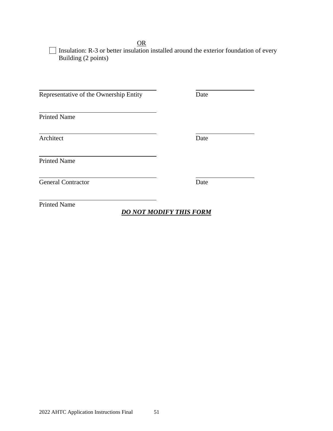OR

 $\Box$  Insulation: R-3 or better insulation installed around the exterior foundation of every Building (2 points)

Representative of the Ownership Entity Date Printed Name Architect Date Printed Name General Contractor Date Printed Name *DO NOT MODIFY THIS FORM*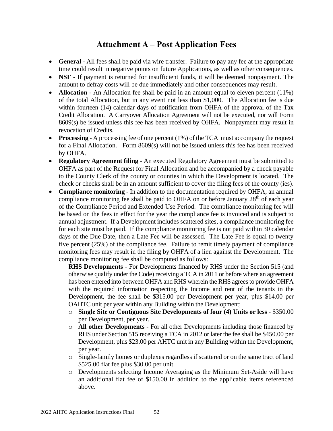# **Attachment A – Post Application Fees**

- **General -** All fees shall be paid via wire transfer. Failure to pay any fee at the appropriate time could result in negative points on future Applications, as well as other consequences.
- **NSF -** If payment is returned for insufficient funds, it will be deemed nonpayment. The amount to defray costs will be due immediately and other consequences may result.
- **Allocation** An Allocation fee shall be paid in an amount equal to eleven percent (11%) of the total Allocation, but in any event not less than \$1,000. The Allocation fee is due within fourteen (14) calendar days of notification from OHFA of the approval of the Tax Credit Allocation. A Carryover Allocation Agreement will not be executed, nor will Form 8609(s) be issued unless this fee has been received by OHFA. Nonpayment may result in revocation of Credits.
- **Processing** A processing fee of one percent (1%) of the TCA must accompany the request for a Final Allocation. Form 8609(s) will not be issued unless this fee has been received by OHFA.
- **Regulatory Agreement filing** An executed Regulatory Agreement must be submitted to OHFA as part of the Request for Final Allocation and be accompanied by a check payable to the County Clerk of the county or counties in which the Development is located. The check or checks shall be in an amount sufficient to cover the filing fees of the county (ies).
- **Compliance monitoring** In addition to the documentation required by OHFA, an annual compliance monitoring fee shall be paid to OHFA on or before January  $28<sup>th</sup>$  of each year of the Compliance Period and Extended Use Period. The compliance monitoring fee will be based on the fees in effect for the year the compliance fee is invoiced and is subject to annual adjustment. If a Development includes scattered sites, a compliance monitoring fee for each site must be paid. If the compliance monitoring fee is not paid within 30 calendar days of the Due Date, then a Late Fee will be assessed. The Late Fee is equal to twenty five percent (25%) of the compliance fee. Failure to remit timely payment of compliance monitoring fees may result in the filing by OHFA of a lien against the Development. The compliance monitoring fee shall be computed as follows:

**RHS Developments** - For Developments financed by RHS under the Section 515 (and otherwise qualify under the Code) receiving a TCA in 2011 or before where an agreement has been entered into between OHFA and RHS wherein the RHS agrees to provide OHFA with the required information respecting the Income and rent of the tenants in the Development, the fee shall be \$315.00 per Development per year, plus \$14.00 per OAHTC unit per year within any Building within the Development;

- o **Single Site or Contiguous Site Developments of four (4) Units or less** \$350.00 per Development, per year.
- o **All other Developments** For all other Developments including those financed by RHS under Section 515 receiving a TCA in 2012 or later the fee shall be \$450.00 per Development, plus \$23.00 per AHTC unit in any Building within the Development, per year.
- o Single-family homes or duplexes regardless if scattered or on the same tract of land \$525.00 flat fee plus \$30.00 per unit.
- o Developments selecting Income Averaging as the Minimum Set-Aside will have an additional flat fee of \$150.00 in addition to the applicable items referenced above.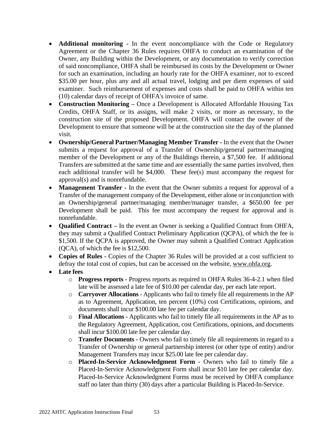- **Additional monitoring -** In the event noncompliance with the Code or Regulatory Agreement or the Chapter 36 Rules requires OHFA to conduct an examination of the Owner, any Building within the Development, or any documentation to verify correction of said noncompliance, OHFA shall be reimbursed its costs by the Development or Owner for such an examination, including an hourly rate for the OHFA examiner, not to exceed \$35.00 per hour, plus any and all actual travel, lodging and per diem expenses of said examiner. Such reimbursement of expenses and costs shall be paid to OHFA within ten (10) calendar days of receipt of OHFA's invoice of same.
- **Construction Monitoring –** Once a Development is Allocated Affordable Housing Tax Credits, OHFA Staff, or its assigns, will make 2 visits, or more as necessary, to the construction site of the proposed Development. OHFA will contact the owner of the Development to ensure that someone will be at the construction site the day of the planned visit.
- **Ownership/General Partner/Managing Member Transfer -** In the event that the Owner submits a request for approval of a Transfer of Ownership/general partner/managing member of the Development or any of the Buildings therein, a \$7,500 fee. If additional Transfers are submitted at the same time and are essentially the same parties involved, then each additional transfer will be \$4,000. These fee(s) must accompany the request for approval(s) and is nonrefundable.
- **Management Transfer** In the event that the Owner submits a request for approval of a Transfer of the management company of the Development, either alone or in conjunction with an Ownership/general partner/managing member/manager transfer, a \$650.00 fee per Development shall be paid. This fee must accompany the request for approval and is nonrefundable.
- **Qualified Contract** In the event an Owner is seeking a Qualified Contract from OHFA, they may submit a Qualified Contract Preliminary Application (QCPA), of which the fee is \$1,500. If the QCPA is approved, the Owner may submit a Qualified Contract Application (QCA), of which the fee is \$12,500.
- **Copies of Rules -** Copies of the Chapter 36 Rules will be provided at a cost sufficient to defray the total cost of copies, but can be accessed on the website, [www.ohfa.org.](http://www.ohfa.org/)
- **Late fees**
	- o **Progress reports -** Progress reports as required in OHFA Rules 36-4-2.1 when filed late will be assessed a late fee of \$10.00 per calendar day, per each late report.
	- o **Carryover Allocations** Applicants who fail to timely file all requirements in the AP as to Agreement, Application, ten percent (10%) cost Certifications, opinions, and documents shall incur \$100.00 late fee per calendar day.
	- o **Final Allocations -** Applicants who fail to timely file all requirements in the AP as to the Regulatory Agreement, Application, cost Certifications, opinions, and documents shall incur \$100.00 late fee per calendar day.
	- o **Transfer Documents -** Owners who fail to timely file all requirements in regard to a Transfer of Ownership or general partnership interest (or other type of entity) and/or Management Transfers may incur \$25.00 late fee per calendar day.
	- o **Placed-In-Service Acknowledgment Form** Owners who fail to timely file a Placed-In-Service Acknowledgment Form shall incur \$10 late fee per calendar day. Placed-In-Service Acknowledgment Forms must be received by OHFA compliance staff no later than thirty (30) days after a particular Building is Placed-In-Service.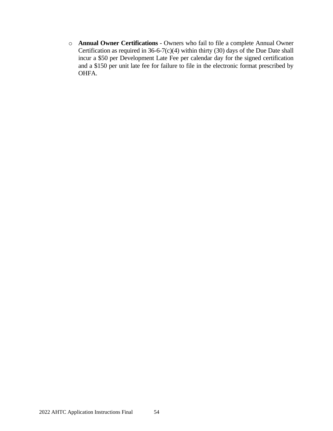o **Annual Owner Certifications** - Owners who fail to file a complete Annual Owner Certification as required in 36-6-7(c)(4) within thirty (30) days of the Due Date shall incur a \$50 per Development Late Fee per calendar day for the signed certification and a \$150 per unit late fee for failure to file in the electronic format prescribed by OHFA.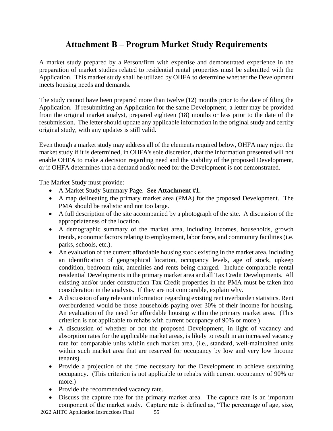# **Attachment B – Program Market Study Requirements**

A market study prepared by a Person/firm with expertise and demonstrated experience in the preparation of market studies related to residential rental properties must be submitted with the Application. This market study shall be utilized by OHFA to determine whether the Development meets housing needs and demands.

The study cannot have been prepared more than twelve (12) months prior to the date of filing the Application. If resubmitting an Application for the same Development, a letter may be provided from the original market analyst, prepared eighteen (18) months or less prior to the date of the resubmission. The letter should update any applicable information in the original study and certify original study, with any updates is still valid.

Even though a market study may address all of the elements required below, OHFA may reject the market study if it is determined, in OHFA's sole discretion, that the information presented will not enable OHFA to make a decision regarding need and the viability of the proposed Development, or if OHFA determines that a demand and/or need for the Development is not demonstrated.

The Market Study must provide:

- A Market Study Summary Page. **See Attachment #1.**
- A map delineating the primary market area (PMA) for the proposed Development. The PMA should be realistic and not too large.
- A full description of the site accompanied by a photograph of the site. A discussion of the appropriateness of the location.
- A demographic summary of the market area, including incomes, households, growth trends, economic factors relating to employment, labor force, and community facilities (i.e. parks, schools, etc.).
- An evaluation of the current affordable housing stock existing in the market area, including an identification of geographical location, occupancy levels, age of stock, upkeep condition, bedroom mix, amenities and rents being charged. Include comparable rental residential Developments in the primary market area and all Tax Credit Developments. All existing and/or under construction Tax Credit properties in the PMA must be taken into consideration in the analysis. If they are not comparable, explain why.
- A discussion of any relevant information regarding existing rent overburden statistics. Rent overburdened would be those households paying over 30% of their income for housing. An evaluation of the need for affordable housing within the primary market area. (This criterion is not applicable to rehabs with current occupancy of 90% or more.)
- A discussion of whether or not the proposed Development, in light of vacancy and absorption rates for the applicable market areas, is likely to result in an increased vacancy rate for comparable units within such market area, (i.e., standard, well-maintained units within such market area that are reserved for occupancy by low and very low Income tenants).
- Provide a projection of the time necessary for the Development to achieve sustaining occupancy. (This criterion is not applicable to rehabs with current occupancy of 90% or more.)
- Provide the recommended vacancy rate.
- Discuss the capture rate for the primary market area. The capture rate is an important component of the market study. Capture rate is defined as, "The percentage of age, size,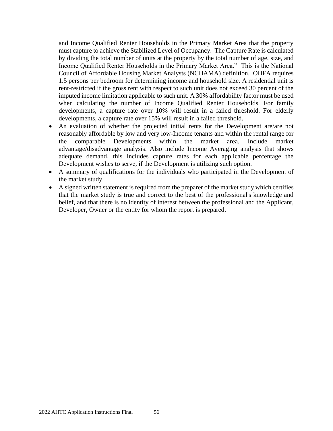and Income Qualified Renter Households in the Primary Market Area that the property must capture to achieve the Stabilized Level of Occupancy. The Capture Rate is calculated by dividing the total number of units at the property by the total number of age, size, and Income Qualified Renter Households in the Primary Market Area." This is the National Council of Affordable Housing Market Analysts (NCHAMA) definition. OHFA requires 1.5 persons per bedroom for determining income and household size. A residential unit is rent-restricted if the gross rent with respect to such unit does not exceed 30 percent of the imputed income limitation applicable to such unit. A 30% affordability factor must be used when calculating the number of Income Qualified Renter Households. For family developments, a capture rate over 10% will result in a failed threshold. For elderly developments, a capture rate over 15% will result in a failed threshold.

- An evaluation of whether the projected initial rents for the Development are/are not reasonably affordable by low and very low-Income tenants and within the rental range for the comparable Developments within the market area. Include market advantage/disadvantage analysis. Also include Income Averaging analysis that shows adequate demand, this includes capture rates for each applicable percentage the Development wishes to serve, if the Development is utilizing such option.
- A summary of qualifications for the individuals who participated in the Development of the market study.
- A signed written statement is required from the preparer of the market study which certifies that the market study is true and correct to the best of the professional's knowledge and belief, and that there is no identity of interest between the professional and the Applicant, Developer, Owner or the entity for whom the report is prepared.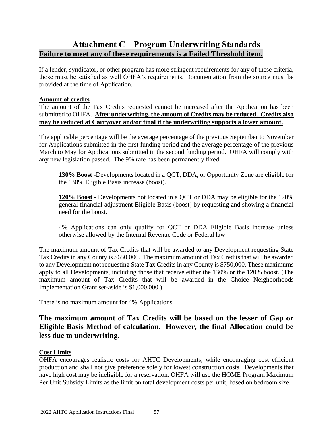# **Attachment C – Program Underwriting Standards Failure to meet any of these requirements is a Failed Threshold item.**

If a lender, syndicator, or other program has more stringent requirements for any of these criteria, those must be satisfied as well OHFA's requirements. Documentation from the source must be provided at the time of Application.

#### **Amount of credits**

The amount of the Tax Credits requested cannot be increased after the Application has been submitted to OHFA. **After underwriting, the amount of Credits may be reduced. Credits also may be reduced at Carryover and/or final if the underwriting supports a lower amount.**

The applicable percentage will be the average percentage of the previous September to November for Applications submitted in the first funding period and the average percentage of the previous March to May for Applications submitted in the second funding period. OHFA will comply with any new legislation passed. The 9% rate has been permanently fixed.

**130% Boost** -Developments located in a QCT, DDA, or Opportunity Zone are eligible for the 130% Eligible Basis increase (boost).

**120% Boost** - Developments not located in a QCT or DDA may be eligible for the 120% general financial adjustment Eligible Basis (boost) by requesting and showing a financial need for the boost.

4% Applications can only qualify for QCT or DDA Eligible Basis increase unless otherwise allowed by the Internal Revenue Code or Federal law.

The maximum amount of Tax Credits that will be awarded to any Development requesting State Tax Credits in any County is \$650,000. The maximum amount of Tax Credits that will be awarded to any Development not requesting State Tax Credits in any County is \$750,000. These maximums apply to all Developments, including those that receive either the 130% or the 120% boost. (The maximum amount of Tax Credits that will be awarded in the Choice Neighborhoods Implementation Grant set-aside is \$1,000,000.)

There is no maximum amount for 4% Applications.

# **The maximum amount of Tax Credits will be based on the lesser of Gap or Eligible Basis Method of calculation. However, the final Allocation could be less due to underwriting.**

#### **Cost Limits**

OHFA encourages realistic costs for AHTC Developments, while encouraging cost efficient production and shall not give preference solely for lowest construction costs. Developments that have high cost may be ineligible for a reservation. OHFA will use the HOME Program Maximum Per Unit Subsidy Limits as the limit on total development costs per unit, based on bedroom size.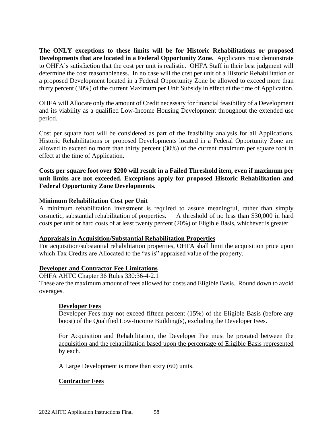**The ONLY exceptions to these limits will be for Historic Rehabilitations or proposed Developments that are located in a Federal Opportunity Zone.** Applicants must demonstrate to OHFA's satisfaction that the cost per unit is realistic. OHFA Staff in their best judgment will determine the cost reasonableness. In no case will the cost per unit of a Historic Rehabilitation or a proposed Development located in a Federal Opportunity Zone be allowed to exceed more than thirty percent (30%) of the current Maximum per Unit Subsidy in effect at the time of Application.

OHFA will Allocate only the amount of Credit necessary for financial feasibility of a Development and its viability as a qualified Low-Income Housing Development throughout the extended use period.

Cost per square foot will be considered as part of the feasibility analysis for all Applications. Historic Rehabilitations or proposed Developments located in a Federal Opportunity Zone are allowed to exceed no more than thirty percent (30%) of the current maximum per square foot in effect at the time of Application.

#### **Costs per square foot over \$200 will result in a Failed Threshold item, even if maximum per unit limits are not exceeded. Exceptions apply for proposed Historic Rehabilitation and Federal Opportunity Zone Developments.**

#### **Minimum Rehabilitation Cost per Unit**

A minimum rehabilitation investment is required to assure meaningful, rather than simply cosmetic, substantial rehabilitation of properties. A threshold of no less than \$30,000 in hard costs per unit or hard costs of at least twenty percent (20%) of Eligible Basis, whichever is greater.

#### **Appraisals in Acquisition/Substantial Rehabilitation Properties**

For acquisition/substantial rehabilitation properties, OHFA shall limit the acquisition price upon which Tax Credits are Allocated to the "as is" appraised value of the property.

#### **Developer and Contractor Fee Limitations**

OHFA AHTC Chapter 36 Rules 330:36-4-2.1 These are the maximum amount of fees allowed for costs and Eligible Basis. Round down to avoid overages.

#### **Developer Fees**

Developer Fees may not exceed fifteen percent (15%) of the Eligible Basis (before any boost) of the Qualified Low-Income Building(s), excluding the Developer Fees.

For Acquisition and Rehabilitation, the Developer Fee must be prorated between the acquisition and the rehabilitation based upon the percentage of Eligible Basis represented by each.

A Large Development is more than sixty (60) units.

#### **Contractor Fees**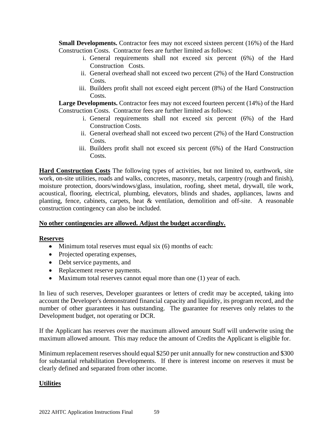**Small Developments.** Contractor fees may not exceed sixteen percent (16%) of the Hard Construction Costs. Contractor fees are further limited as follows:

- i. General requirements shall not exceed six percent (6%) of the Hard Construction Costs.
- ii. General overhead shall not exceed two percent (2%) of the Hard Construction Costs.
- iii. Builders profit shall not exceed eight percent (8%) of the Hard Construction Costs.

Large Developments. Contractor fees may not exceed fourteen percent (14%) of the Hard Construction Costs. Contractor fees are further limited as follows:

- i. General requirements shall not exceed six percent (6%) of the Hard Construction Costs.
- ii. General overhead shall not exceed two percent (2%) of the Hard Construction Costs.
- iii. Builders profit shall not exceed six percent (6%) of the Hard Construction Costs.

**Hard Construction Costs** The following types of activities, but not limited to, earthwork, site work, on-site utilities, roads and walks, concretes, masonry, metals, carpentry (rough and finish), moisture protection, doors/windows/glass, insulation, roofing, sheet metal, drywall, tile work, acoustical, flooring, electrical, plumbing, elevators, blinds and shades, appliances, lawns and planting, fence, cabinets, carpets, heat & ventilation, demolition and off-site. A reasonable construction contingency can also be included.

#### **No other contingencies are allowed. Adjust the budget accordingly.**

#### **Reserves**

- Minimum total reserves must equal six  $(6)$  months of each:
- Projected operating expenses,
- Debt service payments, and
- Replacement reserve payments.
- Maximum total reserves cannot equal more than one (1) year of each.

In lieu of such reserves, Developer guarantees or letters of credit may be accepted, taking into account the Developer's demonstrated financial capacity and liquidity, its program record, and the number of other guarantees it has outstanding. The guarantee for reserves only relates to the Development budget, not operating or DCR.

If the Applicant has reserves over the maximum allowed amount Staff will underwrite using the maximum allowed amount. This may reduce the amount of Credits the Applicant is eligible for.

Minimum replacement reserves should equal \$250 per unit annually for new construction and \$300 for substantial rehabilitation Developments. If there is interest income on reserves it must be clearly defined and separated from other income.

#### **Utilities**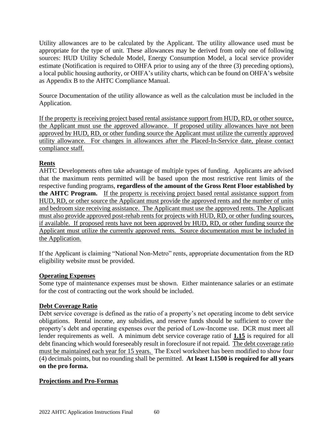Utility allowances are to be calculated by the Applicant. The utility allowance used must be appropriate for the type of unit. These allowances may be derived from only one of following sources: HUD Utility Schedule Model, Energy Consumption Model, a local service provider estimate (Notification is required to OHFA prior to using any of the three (3) preceding options), a local public housing authority, or OHFA's utility charts, which can be found on OHFA's website as Appendix B to the AHTC Compliance Manual.

Source Documentation of the utility allowance as well as the calculation must be included in the Application.

If the property is receiving project based rental assistance support from HUD, RD, or other source, the Applicant must use the approved allowance. If proposed utility allowances have not been approved by HUD, RD, or other funding source the Applicant must utilize the currently approved utility allowance. For changes in allowances after the Placed-In-Service date, please contact compliance staff.

### **Rents**

AHTC Developments often take advantage of multiple types of funding. Applicants are advised that the maximum rents permitted will be based upon the most restrictive rent limits of the respective funding programs, **regardless of the amount of the Gross Rent Floor established by the AHTC Program.** If the property is receiving project based rental assistance support from HUD, RD, or other source the Applicant must provide the approved rents and the number of units and bedroom size receiving assistance. The Applicant must use the approved rents. The Applicant must also provide approved post-rehab rents for projects with HUD, RD, or other funding sources, if available. If proposed rents have not been approved by HUD, RD, or other funding source the Applicant must utilize the currently approved rents. Source documentation must be included in the Application.

If the Applicant is claiming "National Non-Metro" rents, appropriate documentation from the RD eligibility website must be provided.

#### **Operating Expenses**

Some type of maintenance expenses must be shown. Either maintenance salaries or an estimate for the cost of contracting out the work should be included.

#### **Debt Coverage Ratio**

Debt service coverage is defined as the ratio of a property's net operating income to debt service obligations. Rental income, any subsidies, and reserve funds should be sufficient to cover the property's debt and operating expenses over the period of Low-Income use. DCR must meet all lender requirements as well. A minimum debt service coverage ratio of **1.15** is required for all debt financing which would foreseeably result in foreclosure if not repaid. The debt coverage ratio must be maintained each year for 15 years. The Excel worksheet has been modified to show four (4) decimals points, but no rounding shall be permitted. **At least 1.1500 is required for all years on the pro forma.**

#### **Projections and Pro-Formas**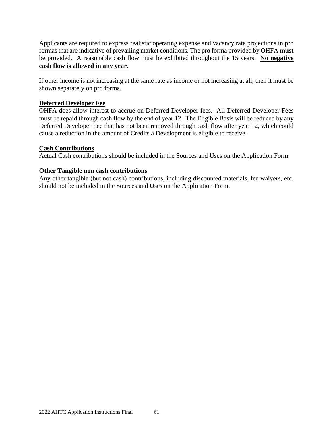Applicants are required to express realistic operating expense and vacancy rate projections in pro formas that are indicative of prevailing market conditions. The pro forma provided by OHFA **must** be provided. A reasonable cash flow must be exhibited throughout the 15 years. **No negative cash flow is allowed in any year.**

If other income is not increasing at the same rate as income or not increasing at all, then it must be shown separately on pro forma.

#### **Deferred Developer Fee**

OHFA does allow interest to accrue on Deferred Developer fees. All Deferred Developer Fees must be repaid through cash flow by the end of year 12. The Eligible Basis will be reduced by any Deferred Developer Fee that has not been removed through cash flow after year 12, which could cause a reduction in the amount of Credits a Development is eligible to receive.

#### **Cash Contributions**

Actual Cash contributions should be included in the Sources and Uses on the Application Form.

#### **Other Tangible non cash contributions**

Any other tangible (but not cash) contributions, including discounted materials, fee waivers, etc. should not be included in the Sources and Uses on the Application Form.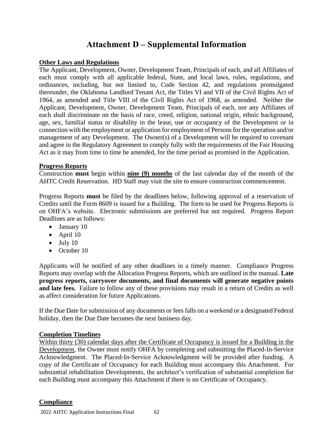# **Attachment D – Supplemental Information**

#### **Other Laws and Regulations**

The Applicant, Development, Owner, Development Team, Principals of each, and all Affiliates of each must comply with all applicable federal, State, and local laws, rules, regulations, and ordinances, including, but not limited to, Code Section 42, and regulations promulgated thereunder, the Oklahoma Landlord Tenant Act, the Titles VI and VII of the Civil Rights Act of 1964, as amended and Title VIII of the Civil Rights Act of 1968, as amended. Neither the Applicant, Development, Owner, Development Team, Principals of each, nor any Affiliates of each shall discriminate on the basis of race, creed, religion, national origin, ethnic background, age, sex, familial status or disability in the lease, use or occupancy of the Development or in connection with the employment or application for employment of Persons for the operation and/or management of any Development. The Owner(s) of a Development will be required to covenant and agree in the Regulatory Agreement to comply fully with the requirements of the Fair Housing Act as it may from time to time be amended, for the time period as promised in the Application.

#### **Progress Reports**

Construction **must** begin within **nine (9) months** of the last calendar day of the month of the AHTC Credit Reservation. HD Staff may visit the site to ensure construction commencement.

Progress Reports **must** be filed by the deadlines below, following approval of a reservation of Credits until the Form 8609 is issued for a Building. The form to be used for Progress Reports is on OHFA's website. Electronic submissions are preferred but not required. Progress Report Deadlines are as follows:

- January 10
- April 10
- $\bullet$  July 10
- October 10

Applicants will be notified of any other deadlines in a timely manner. Compliance Progress Reports may overlap with the Allocation Progress Reports, which are outlined in the manual. **Late progress reports, carryover documents, and final documents will generate negative points and late fees.** Failure to follow any of these provisions may result in a return of Credits as well as affect consideration for future Applications.

If the Due Date for submission of any documents or fees falls on a weekend or a designated Federal holiday, then the Due Date becomes the next business day.

#### **Completion Timelines**

Within thirty (30) calendar days after the Certificate of Occupancy is issued for a Building in the Development, the Owner must notify OHFA by completing and submitting the Placed-In-Service Acknowledgment. The Placed-In-Service Acknowledgment will be provided after funding. A copy of the Certificate of Occupancy for each Building must accompany this Attachment. For substantial rehabilitation Developments, the architect's verification of substantial completion for each Building must accompany this Attachment if there is no Certificate of Occupancy.

#### **Compliance**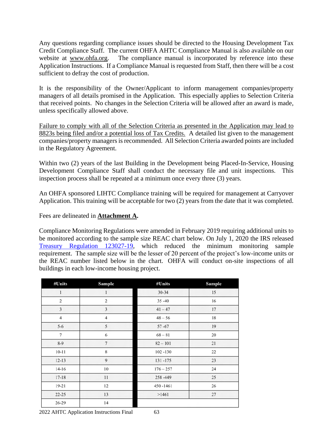Any questions regarding compliance issues should be directed to the Housing Development Tax Credit Compliance Staff. The current OHFA AHTC Compliance Manual is also available on our website at [www.ohfa.org.](http://www.ohfa.org/) The compliance manual is incorporated by reference into these Application Instructions. If a Compliance Manual is requested from Staff, then there will be a cost sufficient to defray the cost of production.

It is the responsibility of the Owner/Applicant to inform management companies/property managers of all details promised in the Application. This especially applies to Selection Criteria that received points. No changes in the Selection Criteria will be allowed after an award is made, unless specifically allowed above.

Failure to comply with all of the Selection Criteria as presented in the Application may lead to 8823s being filed and/or a potential loss of Tax Credits. A detailed list given to the management companies/property managers is recommended. All Selection Criteria awarded points are included in the Regulatory Agreement.

Within two (2) years of the last Building in the Development being Placed-In-Service, Housing Development Compliance Staff shall conduct the necessary file and unit inspections. This inspection process shall be repeated at a minimum once every three (3) years.

An OHFA sponsored LIHTC Compliance training will be required for management at Carryover Application. This training will be acceptable for two (2) years from the date that it was completed.

Fees are delineated in **Attachment A.**

Compliance Monitoring Regulations were amended in February 2019 requiring additional units to be monitored according to the sample size REAC chart below. On July 1, 2020 the IRS released [Treasury Regulation 123027-19,](https://nam12.safelinks.protection.outlook.com/?url=https%3A%2F%2Fwww.irs.gov%2Fpub%2Firs-drop%2Freg-123027-19.pdf&data=04%7C01%7Ccorey.bornemann%40ohfa.org%7Cc3a038669f544c33e9f408d967f70566%7C7c6cedfa13dc468e82c4ee01d475f97a%7C0%7C0%7C637655132903206718%7CUnknown%7CTWFpbGZsb3d8eyJWIjoiMC4wLjAwMDAiLCJQIjoiV2luMzIiLCJBTiI6Ik1haWwiLCJXVCI6Mn0%3D%7C1000&sdata=BWi%2BdfyGE5%2FLBIe2%2BRHOJJ%2FJnTEPvCuYvNNXpcLiC6U%3D&reserved=0) which reduced the minimum monitoring sample requirement. The sample size will be the lesser of 20 percent of the project's low-income units or the REAC number listed below in the chart. OHFA will conduct on-site inspections of all buildings in each low-income housing project.

| #Units         | Sample         | #Units      | Sample |
|----------------|----------------|-------------|--------|
| $\mathbf{1}$   | $\mathbf{1}$   | $30 - 34$   | 15     |
| $\overline{c}$ | $\overline{c}$ | $35 - 40$   | 16     |
| 3              | $\overline{3}$ | $41 - 47$   | 17     |
| $\overline{4}$ | $\overline{4}$ | $48 - 56$   | 18     |
| $5 - 6$        | 5              | $57 - 67$   | 19     |
| $\overline{7}$ | 6              | $68 - 81$   | 20     |
| $8-9$          | $\overline{7}$ | $82 - 101$  | 21     |
| $10 - 11$      | 8              | $102 - 130$ | 22     |
| $12 - 13$      | 9              | 131-175     | 23     |
| $14-16$        | 10             | $176 - 257$ | 24     |
| $17 - 18$      | 11             | 258-449     | 25     |
| 19-21          | 12             | 450-1461    | 26     |
| $22 - 25$      | 13             | >1461       | 27     |
| 26-29          | 14             |             |        |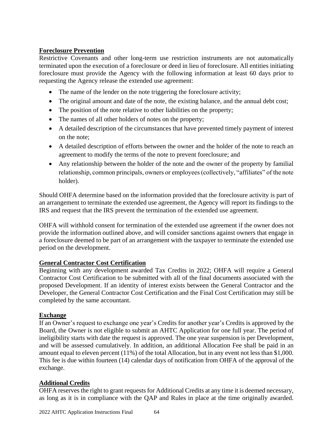#### **Foreclosure Prevention**

Restrictive Covenants and other long-term use restriction instruments are not automatically terminated upon the execution of a foreclosure or deed in lieu of foreclosure. All entities initiating foreclosure must provide the Agency with the following information at least 60 days prior to requesting the Agency release the extended use agreement:

- The name of the lender on the note triggering the foreclosure activity;
- The original amount and date of the note, the existing balance, and the annual debt cost;
- The position of the note relative to other liabilities on the property;
- The names of all other holders of notes on the property;
- A detailed description of the circumstances that have prevented timely payment of interest on the note;
- A detailed description of efforts between the owner and the holder of the note to reach an agreement to modify the terms of the note to prevent foreclosure; and
- Any relationship between the holder of the note and the owner of the property by familial relationship, common principals, owners or employees (collectively, "affiliates" of the note holder).

Should OHFA determine based on the information provided that the foreclosure activity is part of an arrangement to terminate the extended use agreement, the Agency will report its findings to the IRS and request that the IRS prevent the termination of the extended use agreement.

OHFA will withhold consent for termination of the extended use agreement if the owner does not provide the information outlined above, and will consider sanctions against owners that engage in a foreclosure deemed to be part of an arrangement with the taxpayer to terminate the extended use period on the development.

#### **General Contractor Cost Certification**

Beginning with any development awarded Tax Credits in 2022; OHFA will require a General Contractor Cost Certification to be submitted with all of the final documents associated with the proposed Development. If an identity of interest exists between the General Contractor and the Developer, the General Contractor Cost Certification and the Final Cost Certification may still be completed by the same accountant.

#### **Exchange**

If an Owner's request to exchange one year's Credits for another year's Credits is approved by the Board, the Owner is not eligible to submit an AHTC Application for one full year. The period of ineligibility starts with date the request is approved. The one year suspension is per Development, and will be assessed cumulatively. In addition, an additional Allocation Fee shall be paid in an amount equal to eleven percent (11%) of the total Allocation, but in any event not less than \$1,000. This fee is due within fourteen (14) calendar days of notification from OHFA of the approval of the exchange.

#### **Additional Credits**

OHFA reserves the right to grant requests for Additional Credits at any time it is deemed necessary, as long as it is in compliance with the QAP and Rules in place at the time originally awarded.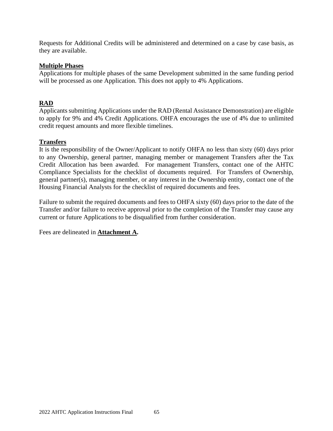Requests for Additional Credits will be administered and determined on a case by case basis, as they are available.

#### **Multiple Phases**

Applications for multiple phases of the same Development submitted in the same funding period will be processed as one Application. This does not apply to 4% Applications.

### **RAD**

Applicants submitting Applications under the RAD (Rental Assistance Demonstration) are eligible to apply for 9% and 4% Credit Applications. OHFA encourages the use of 4% due to unlimited credit request amounts and more flexible timelines.

#### **Transfers**

It is the responsibility of the Owner/Applicant to notify OHFA no less than sixty (60) days prior to any Ownership, general partner, managing member or management Transfers after the Tax Credit Allocation has been awarded. For management Transfers, contact one of the AHTC Compliance Specialists for the checklist of documents required. For Transfers of Ownership, general partner(s), managing member, or any interest in the Ownership entity, contact one of the Housing Financial Analysts for the checklist of required documents and fees.

Failure to submit the required documents and fees to OHFA sixty (60) days prior to the date of the Transfer and/or failure to receive approval prior to the completion of the Transfer may cause any current or future Applications to be disqualified from further consideration.

Fees are delineated in **Attachment A.**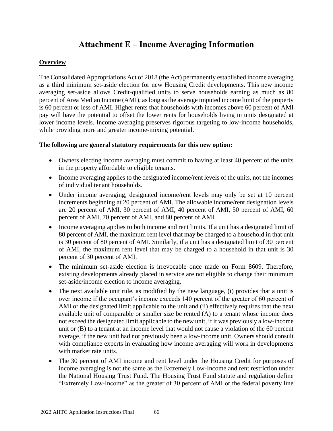# **Attachment E – Income Averaging Information**

#### **Overview**

The Consolidated Appropriations Act of 2018 (the Act) permanently established income averaging as a third minimum set-aside election for new Housing Credit developments. This new income averaging set-aside allows Credit-qualified units to serve households earning as much as 80 percent of Area Median Income (AMI), as long asthe average imputed income limit of the property is 60 percent or less of AMI. Higher rents that households with incomes above 60 percent of AMI pay will have the potential to offset the lower rents for households living in units designated at lower income levels. Income averaging preserves rigorous targeting to low-income households, while providing more and greater income-mixing potential.

#### **The following are general statutory requirements for this new option:**

- Owners electing income averaging must commit to having at least 40 percent of the units in the property affordable to eligible tenants.
- Income averaging applies to the designated income/rent levels of the units, not the incomes of individual tenant households.
- Under income averaging, designated income/rent levels may only be set at 10 percent increments beginning at 20 percent of AMI. The allowable income/rent designation levels are 20 percent of AMI, 30 percent of AMI, 40 percent of AMI, 50 percent of AMI, 60 percent of AMI, 70 percent of AMI, and 80 percent of AMI.
- Income averaging applies to both income and rent limits. If a unit has a designated limit of 80 percent of AMI, the maximum rent level that may be charged to a household in that unit is 30 percent of 80 percent of AMI. Similarly, if a unit has a designated limit of 30 percent of AMI, the maximum rent level that may be charged to a household in that unit is 30 percent of 30 percent of AMI.
- The minimum set-aside election is irrevocable once made on Form 8609. Therefore, existing developments already placed in service are not eligible to change their minimum set-aside/income election to income averaging.
- The next available unit rule, as modified by the new language, (i) provides that a unit is over income if the occupant's income exceeds 140 percent of the greater of 60 percent of AMI or the designated limit applicable to the unit and (ii) effectively requires that the next available unit of comparable or smaller size be rented (A) to a tenant whose income does not exceed the designated limit applicable to the new unit, if it was previously a low-income unit or (B) to a tenant at an income level that would not cause a violation of the 60 percent average, if the new unit had not previously been a low-income unit. Owners should consult with compliance experts in evaluating how income averaging will work in developments with market rate units.
- The 30 percent of AMI income and rent level under the Housing Credit for purposes of income averaging is not the same as the Extremely Low-Income and rent restriction under the National Housing Trust Fund. The Housing Trust Fund statute and regulation define "Extremely Low-Income" as the greater of 30 percent of AMI or the federal poverty line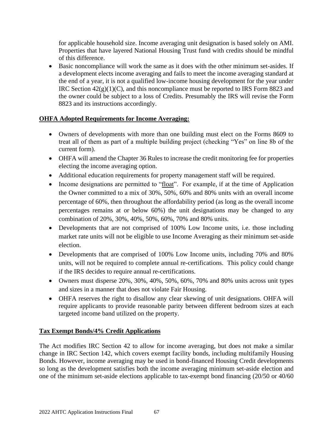for applicable household size. Income averaging unit designation is based solely on AMI. Properties that have layered National Housing Trust fund with credits should be mindful of this difference.

• Basic noncompliance will work the same as it does with the other minimum set-asides. If a development elects income averaging and fails to meet the income averaging standard at the end of a year, it is not a qualified low-income housing development for the year under IRC Section  $42(g)(1)(C)$ , and this noncompliance must be reported to IRS Form 8823 and the owner could be subject to a loss of Credits. Presumably the IRS will revise the Form 8823 and its instructions accordingly.

### **OHFA Adopted Requirements for Income Averaging:**

- Owners of developments with more than one building must elect on the Forms 8609 to treat all of them as part of a multiple building project (checking "Yes" on line 8b of the current form).
- OHFA will amend the Chapter 36 Rules to increase the credit monitoring fee for properties electing the income averaging option.
- Additional education requirements for property management staff will be required.
- Income designations are permitted to "float". For example, if at the time of Application the Owner committed to a mix of 30%, 50%, 60% and 80% units with an overall income percentage of 60%, then throughout the affordability period (as long as the overall income percentages remains at or below 60%) the unit designations may be changed to any combination of 20%, 30%, 40%, 50%, 60%, 70% and 80% units.
- Developments that are not comprised of 100% Low Income units, i.e. those including market rate units will not be eligible to use Income Averaging as their minimum set-aside election.
- Developments that are comprised of 100% Low Income units, including 70% and 80% units, will not be required to complete annual re-certifications. This policy could change if the IRS decides to require annual re-certifications.
- Owners must disperse 20%, 30%, 40%, 50%, 60%, 70% and 80% units across unit types and sizes in a manner that does not violate Fair Housing.
- OHFA reserves the right to disallow any clear skewing of unit designations. OHFA will require applicants to provide reasonable parity between different bedroom sizes at each targeted income band utilized on the property.

#### **Tax Exempt Bonds/4% Credit Applications**

The Act modifies IRC Section 42 to allow for income averaging, but does not make a similar change in IRC Section 142, which covers exempt facility bonds, including multifamily Housing Bonds. However, income averaging may be used in bond-financed Housing Credit developments so long as the development satisfies both the income averaging minimum set-aside election and one of the minimum set-aside elections applicable to tax-exempt bond financing (20/50 or 40/60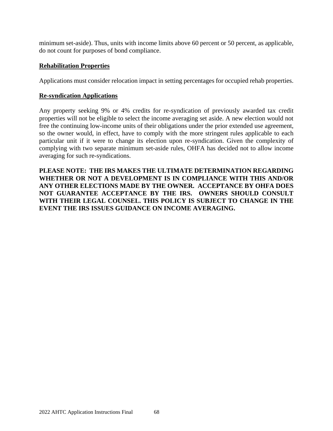minimum set-aside). Thus, units with income limits above 60 percent or 50 percent, as applicable, do not count for purposes of bond compliance.

#### **Rehabilitation Properties**

Applications must consider relocation impact in setting percentages for occupied rehab properties.

#### **Re-syndication Applications**

Any property seeking 9% or 4% credits for re-syndication of previously awarded tax credit properties will not be eligible to select the income averaging set aside. A new election would not free the continuing low-income units of their obligations under the prior extended use agreement, so the owner would, in effect, have to comply with the more stringent rules applicable to each particular unit if it were to change its election upon re-syndication. Given the complexity of complying with two separate minimum set-aside rules, OHFA has decided not to allow income averaging for such re-syndications.

**PLEASE NOTE: THE IRS MAKES THE ULTIMATE DETERMINATION REGARDING WHETHER OR NOT A DEVELOPMENT IS IN COMPLIANCE WITH THIS AND/OR ANY OTHER ELECTIONS MADE BY THE OWNER. ACCEPTANCE BY OHFA DOES NOT GUARANTEE ACCEPTANCE BY THE IRS. OWNERS SHOULD CONSULT WITH THEIR LEGAL COUNSEL. THIS POLICY IS SUBJECT TO CHANGE IN THE EVENT THE IRS ISSUES GUIDANCE ON INCOME AVERAGING.**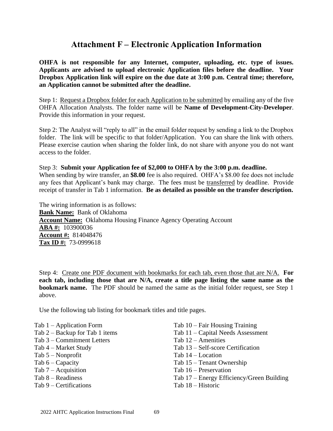# **Attachment F – Electronic Application Information**

**OHFA is not responsible for any Internet, computer, uploading, etc. type of issues. Applicants are advised to upload electronic Application files before the deadline. Your Dropbox Application link will expire on the due date at 3:00 p.m. Central time; therefore, an Application cannot be submitted after the deadline.**

Step 1: Request a Dropbox folder for each Application to be submitted by emailing any of the five OHFA Allocation Analysts. The folder name will be **Name of Development-City-Developer**. Provide this information in your request.

Step 2: The Analyst will "reply to all" in the email folder request by sending a link to the Dropbox folder. The link will be specific to that folder/Application. You can share the link with others. Please exercise caution when sharing the folder link, do not share with anyone you do not want access to the folder.

#### Step 3: **Submit your Application fee of \$2,000 to OHFA by the 3:00 p.m. deadline.**

When sending by wire transfer, an **\$8.00** fee is also required. OHFA's \$8.00 fee does not include any fees that Applicant's bank may charge. The fees must be transferred by deadline. Provide receipt of transfer in Tab 1 information. **Be as detailed as possible on the transfer description.** 

The wiring information is as follows: **Bank Name:** Bank of Oklahoma **Account Name:** Oklahoma Housing Finance Agency Operating Account **ABA #:** 103900036 **Account #:** 814048476 **Tax ID #:** 73-0999618

Step 4: Create one PDF document with bookmarks for each tab, even those that are N/A. **For each tab, including those that are N/A, create a title page listing the same name as the bookmark name.** The PDF should be named the same as the initial folder request, see Step 1 above.

Use the following tab listing for bookmark titles and title pages.

- Tab 1 Application Form
- Tab 2 Backup for Tab 1 items
- Tab 3 Commitment Letters
- Tab 4 Market Study
- Tab 5 Nonprofit
- Tab  $6 -$ Capacity
- Tab 7 Acquisition
- Tab 8 Readiness
- Tab 9 Certifications
- Tab 10 Fair Housing Training
- Tab 11 Capital Needs Assessment
- Tab 12 Amenities
- Tab 13 Self-score Certification
- Tab 14 Location
- Tab 15 Tenant Ownership
- Tab 16 Preservation
- Tab 17 Energy Efficiency/Green Building
- Tab 18 Historic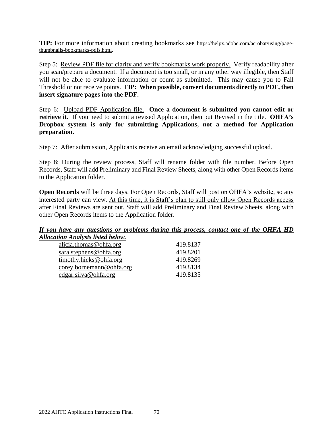**TIP:** For more information about creating bookmarks see [https://helpx.adobe.com/acrobat/using/page](https://helpx.adobe.com/acrobat/using/page-thumbnails-bookmarks-pdfs.html)[thumbnails-bookmarks-pdfs.html.](https://helpx.adobe.com/acrobat/using/page-thumbnails-bookmarks-pdfs.html)

Step 5: Review PDF file for clarity and verify bookmarks work properly. Verify readability after you scan/prepare a document. If a document is too small, or in any other way illegible, then Staff will not be able to evaluate information or count as submitted. This may cause you to Fail Threshold or not receive points. **TIP: When possible, convert documents directly to PDF, then insert signature pages into the PDF.**

Step 6: Upload PDF Application file. **Once a document is submitted you cannot edit or retrieve it.** If you need to submit a revised Application, then put Revised in the title. **OHFA's Dropbox system is only for submitting Applications, not a method for Application preparation.**

Step 7: After submission, Applicants receive an email acknowledging successful upload.

Step 8: During the review process, Staff will rename folder with file number. Before Open Records, Staff will add Preliminary and Final Review Sheets, along with other Open Records items to the Application folder.

**Open Records** will be three days. For Open Records, Staff will post on OHFA's website, so any interested party can view. At this time, it is Staff's plan to still only allow Open Records access after Final Reviews are sent out. Staff will add Preliminary and Final Review Sheets, along with other Open Records items to the Application folder.

#### *If you have any questions or problems during this process, contact one of the OHFA HD Allocation Analysts listed below.*

| 419.8137 |
|----------|
| 419.8201 |
| 419.8269 |
| 419.8134 |
| 419.8135 |
|          |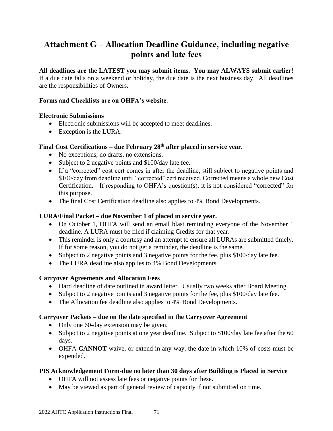# **Attachment G – Allocation Deadline Guidance, including negative points and late fees**

# **All deadlines are the LATEST you may submit items. You may ALWAYS submit earlier!**

If a due date falls on a weekend or holiday, the due date is the next business day. All deadlines are the responsibilities of Owners.

### **Forms and Checklists are on OHFA's website.**

### **Electronic Submissions**

- Electronic submissions will be accepted to meet deadlines.
- Exception is the LURA.

### **Final Cost Certifications – due February 28th after placed in service year.**

- No exceptions, no drafts, no extensions.
- Subject to 2 negative points and \$100/day late fee.
- If a "corrected" cost cert comes in after the deadline, still subject to negative points and \$100/day from deadline until "corrected" cert received. Corrected means a whole new Cost Certification. If responding to OHFA's question(s), it is not considered "corrected" for this purpose.
- The final Cost Certification deadline also applies to 4% Bond Developments.

### **LURA/Final Packet – due November 1 of placed in service year.**

- On October 1, OHFA will send an email blast reminding everyone of the November 1 deadline. A LURA must be filed if claiming Credits for that year.
- This reminder is only a courtesy and an attempt to ensure all LURAs are submitted timely. If for some reason, you do not get a reminder, the deadline is the same.
- Subject to 2 negative points and 3 negative points for the fee, plus \$100/day late fee.
- The LURA deadline also applies to 4% Bond Developments.

### **Carryover Agreements and Allocation Fees**

- Hard deadline of date outlined in award letter. Usually two weeks after Board Meeting.
- Subject to 2 negative points and 3 negative points for the fee, plus \$100/day late fee.
- The Allocation fee deadline also applies to 4% Bond Developments.

### **Carryover Packets – due on the date specified in the Carryover Agreement**

- Only one 60-day extension may be given.
- Subject to 2 negative points at one year deadline. Subject to \$100/day late fee after the 60 days.
- OHFA **CANNOT** waive, or extend in any way, the date in which 10% of costs must be expended.

### **PIS Acknowledgement Form-due no later than 30 days after Building is Placed in Service**

- OHFA will not assess late fees or negative points for these.
- May be viewed as part of general review of capacity if not submitted on time.